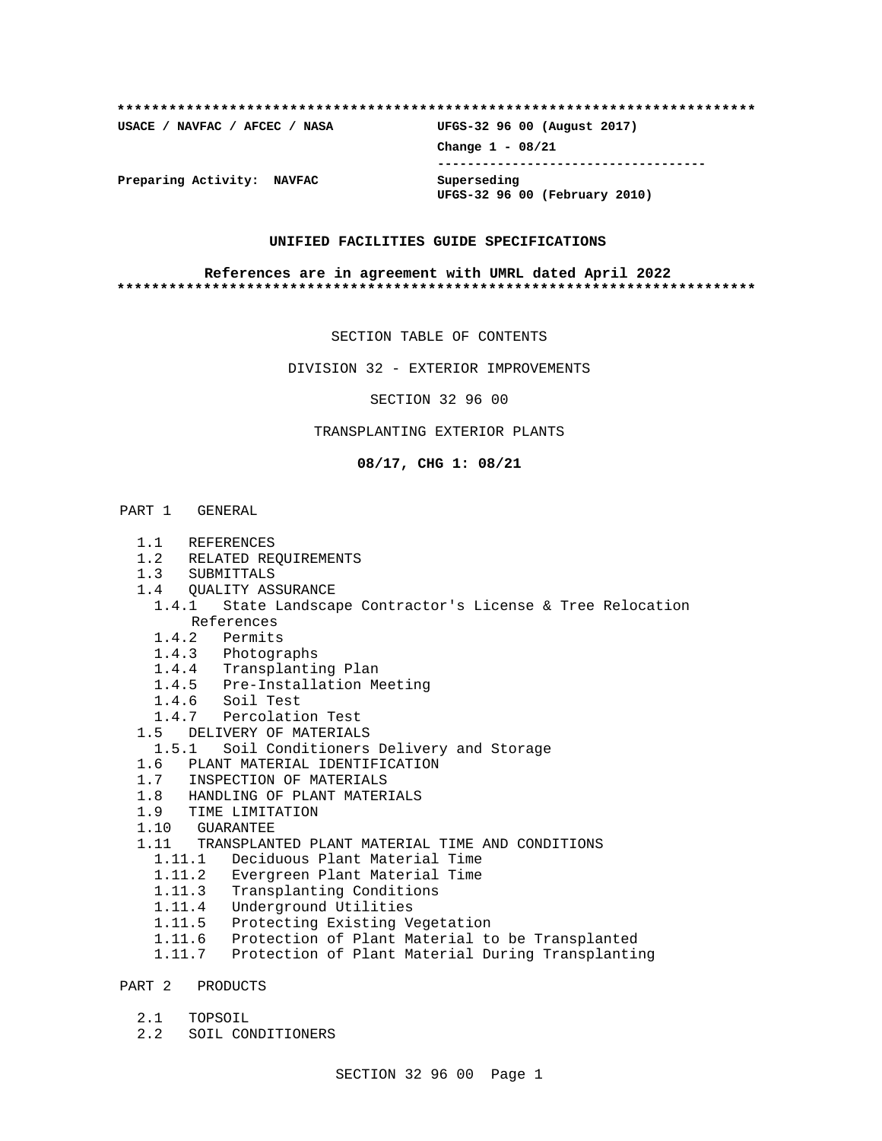## **\*\*\*\*\*\*\*\*\*\*\*\*\*\*\*\*\*\*\*\*\*\*\*\*\*\*\*\*\*\*\*\*\*\*\*\*\*\*\*\*\*\*\*\*\*\*\*\*\*\*\*\*\*\*\*\*\*\*\*\*\*\*\*\*\*\*\*\*\*\*\*\*\*\* USACE / NAVFAC / AFCEC / NASA UFGS-32 96 00 (August 2017)**

**Change 1 - 08/21 ------------------------------------**

**UFGS-32 96 00 (February 2010)**

**Preparing Activity: NAVFAC Superseding**

#### **UNIFIED FACILITIES GUIDE SPECIFICATIONS**

#### **References are in agreement with UMRL dated April 2022 \*\*\*\*\*\*\*\*\*\*\*\*\*\*\*\*\*\*\*\*\*\*\*\*\*\*\*\*\*\*\*\*\*\*\*\*\*\*\*\*\*\*\*\*\*\*\*\*\*\*\*\*\*\*\*\*\*\*\*\*\*\*\*\*\*\*\*\*\*\*\*\*\*\***

SECTION TABLE OF CONTENTS

DIVISION 32 - EXTERIOR IMPROVEMENTS

SECTION 32 96 00

## TRANSPLANTING EXTERIOR PLANTS

**08/17, CHG 1: 08/21**

### PART 1 GENERAL

- 1.1 REFERENCES
- 1.2 RELATED REQUIREMENTS
- 1.3 SUBMITTALS
- 1.4 QUALITY ASSURANCE
- 1.4.1 State Landscape Contractor's License & Tree Relocation References
	- 1.4.2 Permits
	- 1.4.3 Photographs
	- 1.4.4 Transplanting Plan
- 1.4.5 Pre-Installation Meeting
- 1.4.6 Soil Test
- 1.4.7 Percolation Test
- 1.5 DELIVERY OF MATERIALS
	- 1.5.1 Soil Conditioners Delivery and Storage
- 1.6 PLANT MATERIAL IDENTIFICATION
- 1.7 INSPECTION OF MATERIALS
- 1.8 HANDLING OF PLANT MATERIALS
- 1.9 TIME LIMITATION
- 1.10 GUARANTEE
- 1.11 TRANSPLANTED PLANT MATERIAL TIME AND CONDITIONS
	- 1.11.1 Deciduous Plant Material Time
	- 1.11.2 Evergreen Plant Material Time
	- 1.11.3 Transplanting Conditions
	- 1.11.4 Underground Utilities
	- 1.11.5 Protecting Existing Vegetation
	- 1.11.6 Protection of Plant Material to be Transplanted
	- 1.11.7 Protection of Plant Material During Transplanting
- PART 2 PRODUCTS
	- 2.1 TOPSOIL
	- 2.2 SOIL CONDITIONERS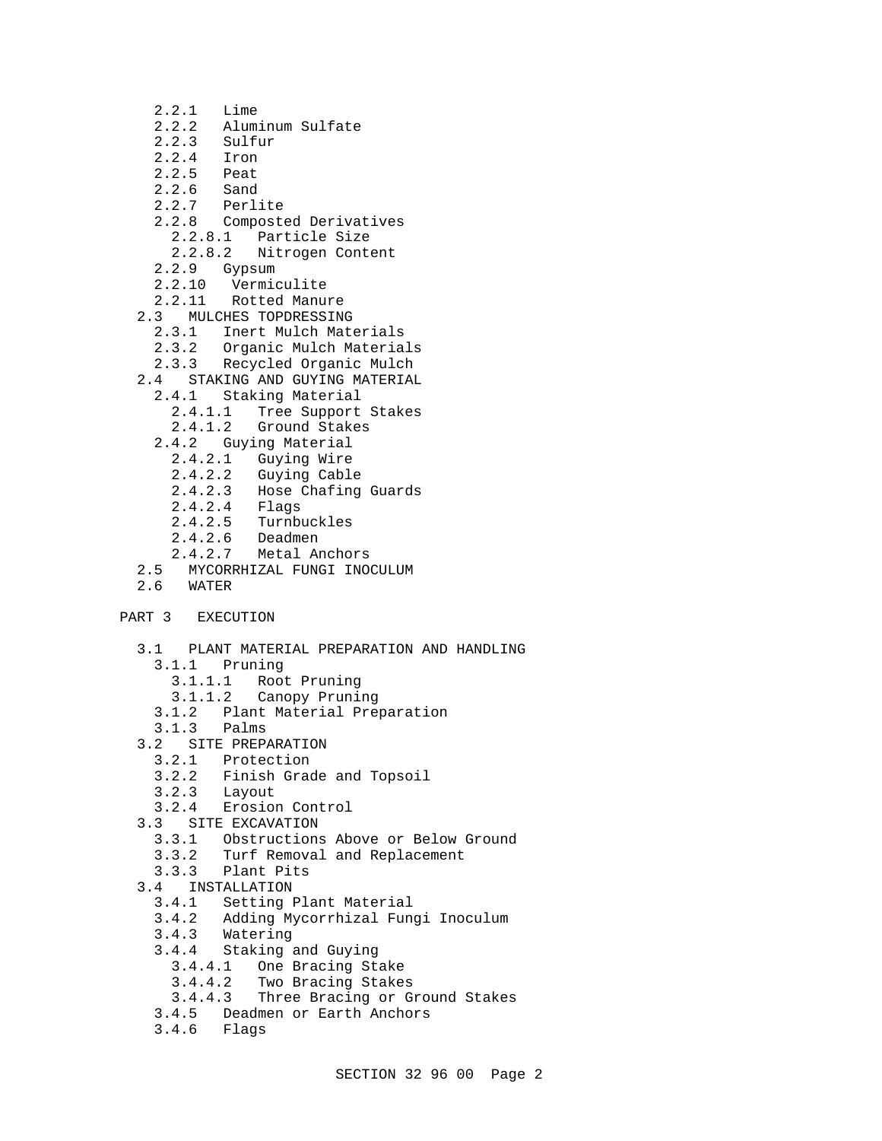- 2.2.1 Lime
- 2.2.2 Aluminum Sulfate
- 2.2.3 Sulfur<br>2.2.4 Iron
- 2.2.4 Iron<br>2.2.5 Peat
- Peat
- 2.2.6 Sand
- 2.2.7 Perlite
- 2.2.8 Composted Derivatives
- 2.2.8.1 Particle Size
- 2.2.8.2 Nitrogen Content
- 2.2.9 Gypsum
- 2.2.10 Vermiculite
- 2.2.11 Rotted Manure
- 2.3 MULCHES TOPDRESSING
	- 2.3.1 Inert Mulch Materials
	- 2.3.2 Organic Mulch Materials
	- 2.3.3 Recycled Organic Mulch
- 2.4 STAKING AND GUYING MATERIAL
- 2.4.1 Staking Material
	- 2.4.1.1 Tree Support Stakes
	- 2.4.1.2 Ground Stakes
	- 2.4.2 Guying Material
		- 2.4.2.1 Guying Wire
		- 2.4.2.2 Guying Cable
		- 2.4.2.3 Hose Chafing Guards
		- 2.4.2.4 Flags
		- 2.4.2.5 Turnbuckles
		- 2.4.2.6 Deadmen
		- 2.4.2.7 Metal Anchors
- 2.5 MYCORRHIZAL FUNGI INOCULUM
- 2.6 WATER

## PART 3 EXECUTION

- 3.1 PLANT MATERIAL PREPARATION AND HANDLING
	- 3.1.1 Pruning
		- 3.1.1.1 Root Pruning
		- 3.1.1.2 Canopy Pruning
		- 3.1.2 Plant Material Preparation
	- 3.1.3 Palms
- 3.2 SITE PREPARATION
	- 3.2.1 Protection
	- 3.2.2 Finish Grade and Topsoil
	- 3.2.3 Layout
- 3.2.4 Erosion Control
- 3.3 SITE EXCAVATION
	- 3.3.1 Obstructions Above or Below Ground
	- 3.3.2 Turf Removal and Replacement
	- 3.3.3 Plant Pits
- 3.4 INSTALLATION<br>3.4.1 Setting
	- Setting Plant Material
	- 3.4.2 Adding Mycorrhizal Fungi Inoculum
	- 3.4.3 Watering
	- 3.4.4 Staking and Guying
		- 3.4.4.1 One Bracing Stake
		-
	- 3.4.4.2 Two Bracing Stakes Three Bracing or Ground Stakes
	- 3.4.5 Deadmen or Earth Anchors
	- 3.4.6 Flags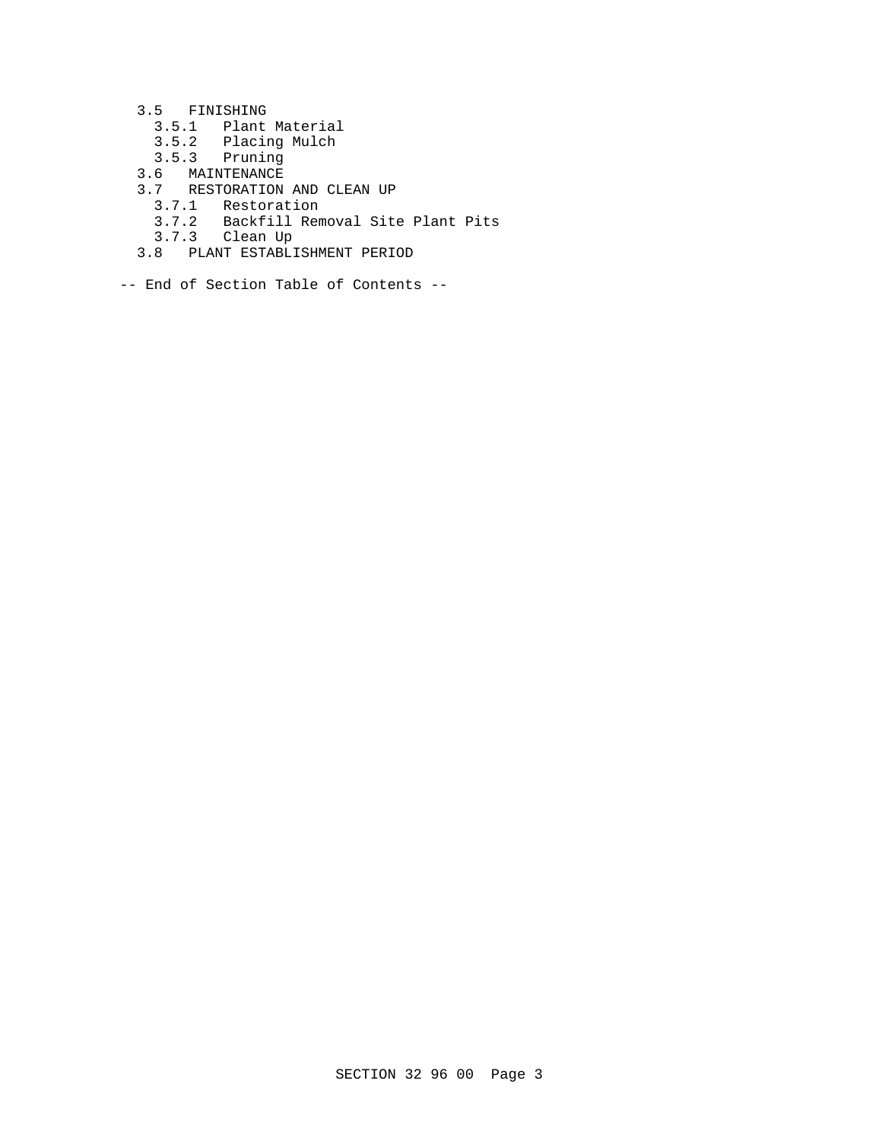- 3.5 FINISHING
	- 3.5.1 Plant Material
	- 3.5.2 Placing Mulch
	- 3.5.3 Pruning
- 3.6 MAINTENANCE
- 3.7 RESTORATION AND CLEAN UP
	- .<br>3.7.1 Restoration<br>3.7.2 Backfill Rem
	- Backfill Removal Site Plant Pits
	- 3.7.3 Clean Up
	- 3.8 PLANT ESTABLISHMENT PERIOD
- -- End of Section Table of Contents --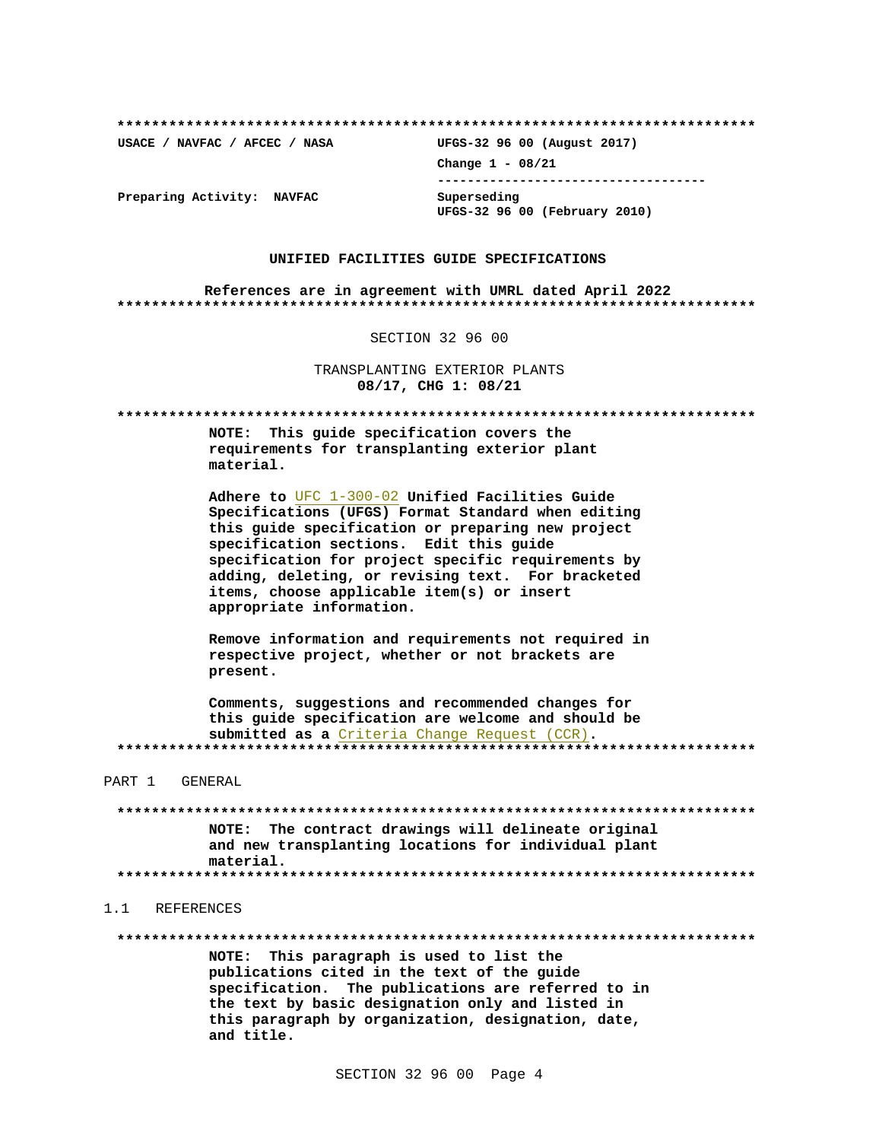USACE / NAVFAC / AFCEC / NASA

UFGS-32 96 00 (August 2017) Change  $1 - 08/21$ --------------------------------------Superseding UFGS-32 96 00 (February 2010)

Preparing Activity: NAVFAC

#### UNIFIED FACILITIES GUIDE SPECIFICATIONS

References are in agreement with UMRL dated April 2022 

SECTION 32 96 00

TRANSPLANTING EXTERIOR PLANTS 08/17, CHG 1: 08/21

NOTE: This guide specification covers the requirements for transplanting exterior plant material.

Adhere to UFC 1-300-02 Unified Facilities Guide Specifications (UFGS) Format Standard when editing this quide specification or preparing new project specification sections. Edit this guide specification for project specific requirements by adding, deleting, or revising text. For bracketed items, choose applicable item(s) or insert appropriate information.

Remove information and requirements not required in respective project, whether or not brackets are present.

Comments, suggestions and recommended changes for this guide specification are welcome and should be submitted as a Criteria Change Request (CCR). 

PART 1 GENERAL

NOTE: The contract drawings will delineate original and new transplanting locations for individual plant material. 

#### 1.1 REFERENCES

NOTE: This paragraph is used to list the publications cited in the text of the guide specification. The publications are referred to in the text by basic designation only and listed in this paragraph by organization, designation, date, and title.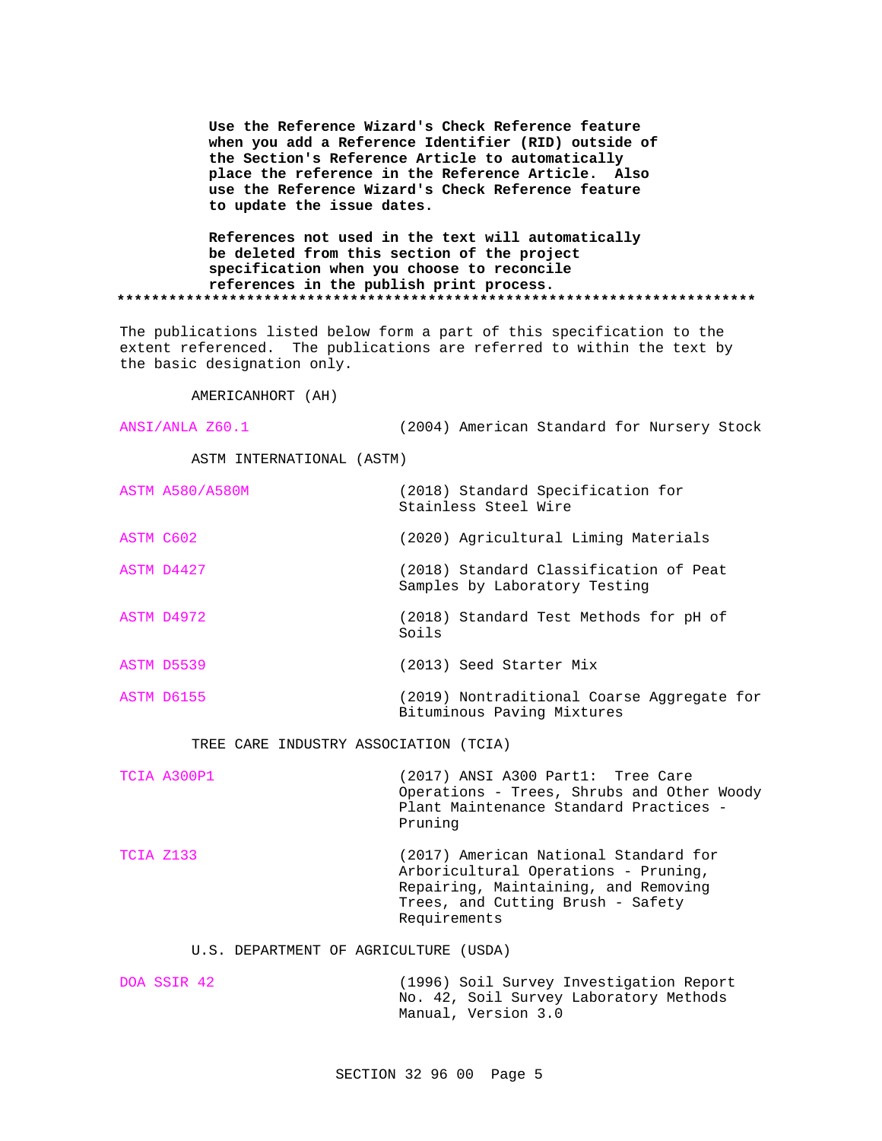**Use the Reference Wizard's Check Reference feature when you add a Reference Identifier (RID) outside of the Section's Reference Article to automatically place the reference in the Reference Article. Also use the Reference Wizard's Check Reference feature to update the issue dates.**

**References not used in the text will automatically be deleted from this section of the project specification when you choose to reconcile references in the publish print process. \*\*\*\*\*\*\*\*\*\*\*\*\*\*\*\*\*\*\*\*\*\*\*\*\*\*\*\*\*\*\*\*\*\*\*\*\*\*\*\*\*\*\*\*\*\*\*\*\*\*\*\*\*\*\*\*\*\*\*\*\*\*\*\*\*\*\*\*\*\*\*\*\*\***

The publications listed below form a part of this specification to the extent referenced. The publications are referred to within the text by the basic designation only.

AMERICANHORT (AH)

ANSI/ANLA Z60.1 (2004) American Standard for Nursery Stock

ASTM INTERNATIONAL (ASTM)

|           | <b>ASTM A580/A580M</b> | (2018) Standard Specification for<br>Stainless Steel Wire                |
|-----------|------------------------|--------------------------------------------------------------------------|
| ASTM C602 |                        | (2020) Agricultural Liming Materials                                     |
|           | ASTM D4427             | (2018) Standard Classification of Peat<br>Samples by Laboratory Testing  |
|           | ASTM D4972             | (2018) Standard Test Methods for pH of<br>Soils                          |
|           | ASTM D5539             | (2013) Seed Starter Mix                                                  |
|           | ASTM D6155             | (2019) Nontraditional Coarse Aggregate for<br>Bituminous Paving Mixtures |

TREE CARE INDUSTRY ASSOCIATION (TCIA)

| TCIA A300P1 | (2017) ANSI A300 Part1: Tree Care<br>Operations - Trees, Shrubs and Other Woody<br>Plant Maintenance Standard Practices -<br>Pruning                                       |
|-------------|----------------------------------------------------------------------------------------------------------------------------------------------------------------------------|
| TCIA Z133   | (2017) American National Standard for<br>Arboricultural Operations - Pruning,<br>Repairing, Maintaining, and Removing<br>Trees, and Cutting Brush - Safety<br>Requirements |

#### U.S. DEPARTMENT OF AGRICULTURE (USDA)

| DOA SSIR 42 |  | (1996) Soil Survey Investigation Report |
|-------------|--|-----------------------------------------|
|             |  | No. 42, Soil Survey Laboratory Methods  |
|             |  | Manual, Version 3.0                     |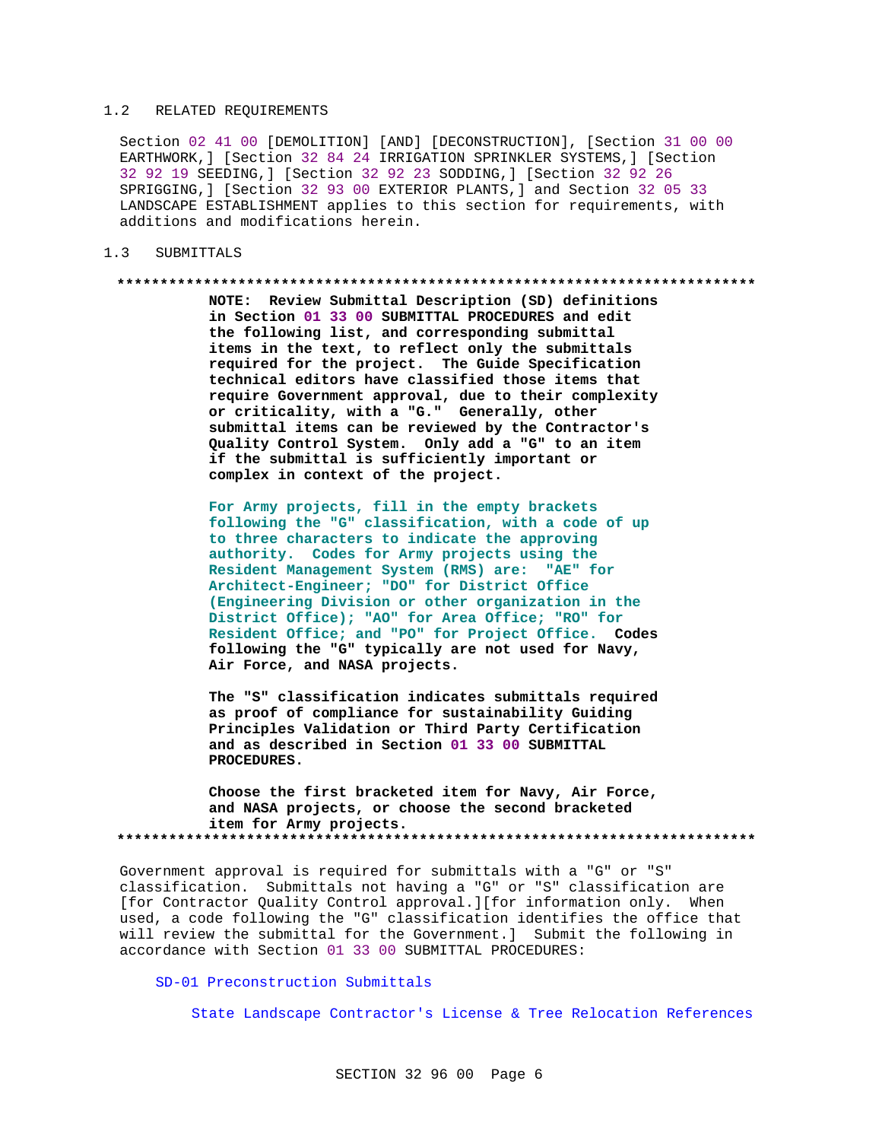### 1.2 RELATED REQUIREMENTS

Section 02 41 00 [DEMOLITION] [AND] [DECONSTRUCTION], [Section 31 00 00 EARTHWORK,] [Section 32 84 24 IRRIGATION SPRINKLER SYSTEMS,] [Section 32 92 19 SEEDING,] [Section 32 92 23 SODDING,] [Section 32 92 26 SPRIGGING,] [Section 32 93 00 EXTERIOR PLANTS,] and Section 32 05 33 LANDSCAPE ESTABLISHMENT applies to this section for requirements, with additions and modifications herein.

## 1.3 SUBMITTALS

#### **\*\*\*\*\*\*\*\*\*\*\*\*\*\*\*\*\*\*\*\*\*\*\*\*\*\*\*\*\*\*\*\*\*\*\*\*\*\*\*\*\*\*\*\*\*\*\*\*\*\*\*\*\*\*\*\*\*\*\*\*\*\*\*\*\*\*\*\*\*\*\*\*\*\***

**NOTE: Review Submittal Description (SD) definitions in Section 01 33 00 SUBMITTAL PROCEDURES and edit the following list, and corresponding submittal items in the text, to reflect only the submittals required for the project. The Guide Specification technical editors have classified those items that require Government approval, due to their complexity or criticality, with a "G." Generally, other submittal items can be reviewed by the Contractor's Quality Control System. Only add a "G" to an item if the submittal is sufficiently important or complex in context of the project.**

**For Army projects, fill in the empty brackets following the "G" classification, with a code of up to three characters to indicate the approving authority. Codes for Army projects using the Resident Management System (RMS) are: "AE" for Architect-Engineer; "DO" for District Office (Engineering Division or other organization in the District Office); "AO" for Area Office; "RO" for Resident Office; and "PO" for Project Office. Codes following the "G" typically are not used for Navy, Air Force, and NASA projects.**

**The "S" classification indicates submittals required as proof of compliance for sustainability Guiding Principles Validation or Third Party Certification and as described in Section 01 33 00 SUBMITTAL PROCEDURES.**

**Choose the first bracketed item for Navy, Air Force, and NASA projects, or choose the second bracketed item for Army projects. \*\*\*\*\*\*\*\*\*\*\*\*\*\*\*\*\*\*\*\*\*\*\*\*\*\*\*\*\*\*\*\*\*\*\*\*\*\*\*\*\*\*\*\*\*\*\*\*\*\*\*\*\*\*\*\*\*\*\*\*\*\*\*\*\*\*\*\*\*\*\*\*\*\***

Government approval is required for submittals with a "G" or "S" classification. Submittals not having a "G" or "S" classification are [for Contractor Quality Control approval.][for information only. When used, a code following the "G" classification identifies the office that will review the submittal for the Government.] Submit the following in accordance with Section 01 33 00 SUBMITTAL PROCEDURES:

## SD-01 Preconstruction Submittals

State Landscape Contractor's License & Tree Relocation References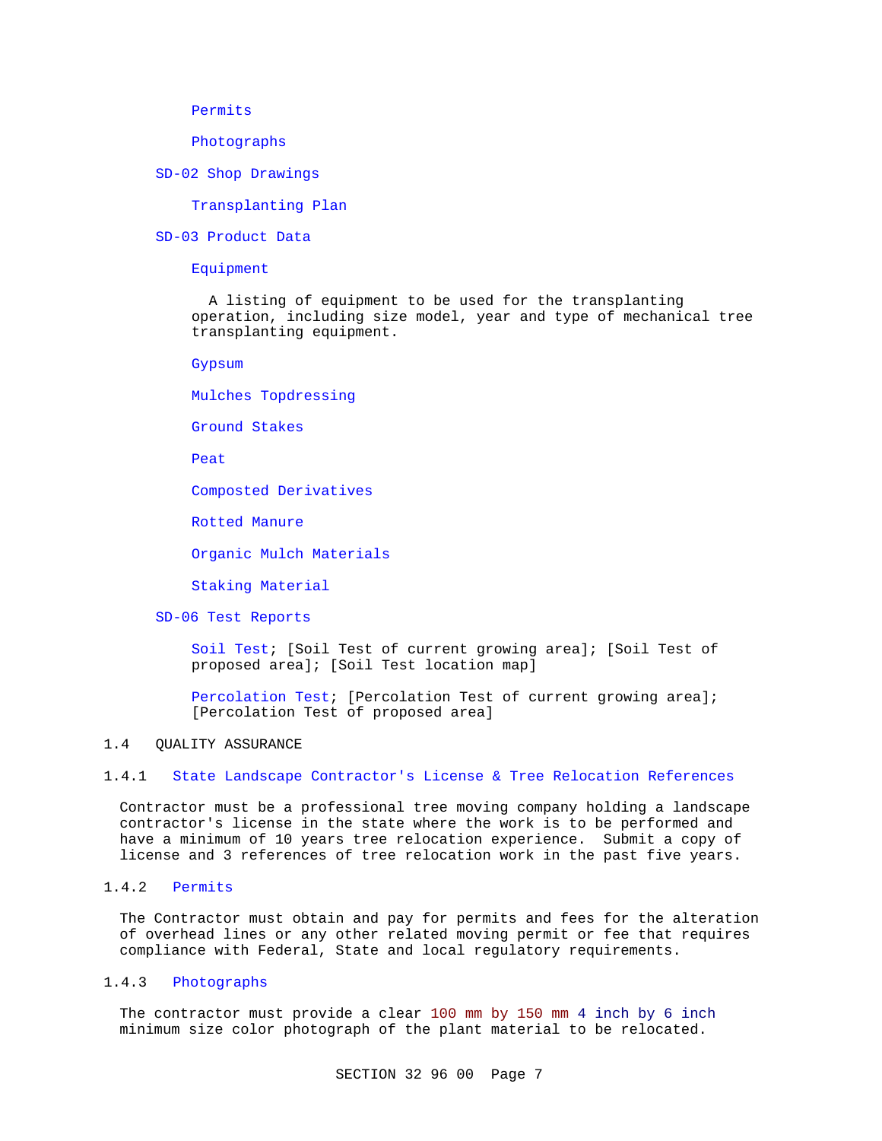Permits

Photographs

SD-02 Shop Drawings

Transplanting Plan

SD-03 Product Data

Equipment

 A listing of equipment to be used for the transplanting operation, including size model, year and type of mechanical tree transplanting equipment.

Gypsum

Mulches Topdressing

Ground Stakes

Peat

Composted Derivatives

Rotted Manure

Organic Mulch Materials

Staking Material

SD-06 Test Reports

Soil Test; [Soil Test of current growing area]; [Soil Test of proposed area]; [Soil Test location map]

Percolation Test; [Percolation Test of current growing area]; [Percolation Test of proposed area]

## 1.4 QUALITY ASSURANCE

## 1.4.1 State Landscape Contractor's License & Tree Relocation References

Contractor must be a professional tree moving company holding a landscape contractor's license in the state where the work is to be performed and have a minimum of 10 years tree relocation experience. Submit a copy of license and 3 references of tree relocation work in the past five years.

# 1.4.2 Permits

The Contractor must obtain and pay for permits and fees for the alteration of overhead lines or any other related moving permit or fee that requires compliance with Federal, State and local regulatory requirements.

## 1.4.3 Photographs

The contractor must provide a clear 100 mm by 150 mm 4 inch by 6 inch minimum size color photograph of the plant material to be relocated.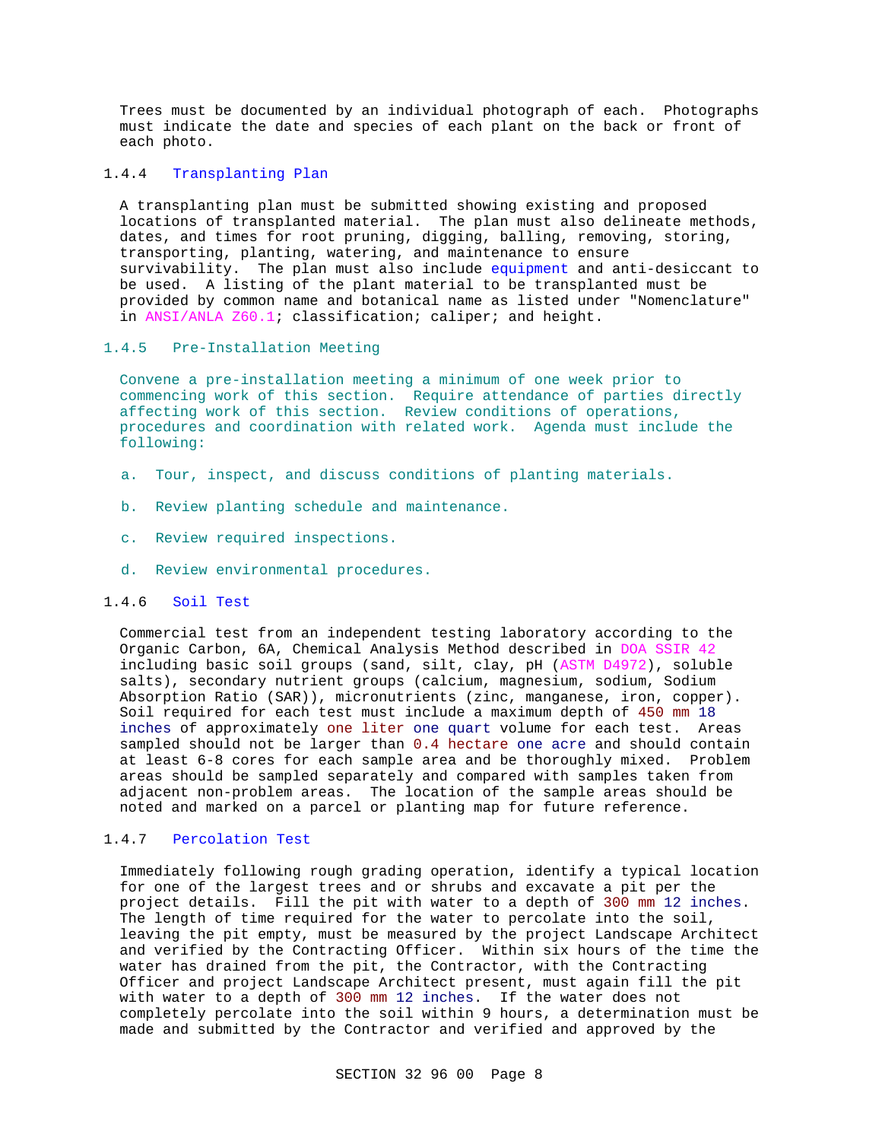Trees must be documented by an individual photograph of each. Photographs must indicate the date and species of each plant on the back or front of each photo.

### 1.4.4 Transplanting Plan

A transplanting plan must be submitted showing existing and proposed locations of transplanted material. The plan must also delineate methods, dates, and times for root pruning, digging, balling, removing, storing, transporting, planting, watering, and maintenance to ensure survivability. The plan must also include equipment and anti-desiccant to be used. A listing of the plant material to be transplanted must be provided by common name and botanical name as listed under "Nomenclature" in ANSI/ANLA Z60.1; classification; caliper; and height.

# 1.4.5 Pre-Installation Meeting

Convene a pre-installation meeting a minimum of one week prior to commencing work of this section. Require attendance of parties directly affecting work of this section. Review conditions of operations, procedures and coordination with related work. Agenda must include the following:

- a. Tour, inspect, and discuss conditions of planting materials.
- b. Review planting schedule and maintenance.
- c. Review required inspections.
- d. Review environmental procedures.

## 1.4.6 Soil Test

Commercial test from an independent testing laboratory according to the Organic Carbon, 6A, Chemical Analysis Method described in DOA SSIR 42 including basic soil groups (sand, silt, clay, pH (ASTM D4972), soluble salts), secondary nutrient groups (calcium, magnesium, sodium, Sodium Absorption Ratio (SAR)), micronutrients (zinc, manganese, iron, copper). Soil required for each test must include a maximum depth of 450 mm 18 inches of approximately one liter one quart volume for each test. Areas sampled should not be larger than 0.4 hectare one acre and should contain at least 6-8 cores for each sample area and be thoroughly mixed. Problem areas should be sampled separately and compared with samples taken from adjacent non-problem areas. The location of the sample areas should be noted and marked on a parcel or planting map for future reference.

## 1.4.7 Percolation Test

Immediately following rough grading operation, identify a typical location for one of the largest trees and or shrubs and excavate a pit per the project details. Fill the pit with water to a depth of 300 mm 12 inches. The length of time required for the water to percolate into the soil, leaving the pit empty, must be measured by the project Landscape Architect and verified by the Contracting Officer. Within six hours of the time the water has drained from the pit, the Contractor, with the Contracting Officer and project Landscape Architect present, must again fill the pit with water to a depth of 300 mm 12 inches. If the water does not completely percolate into the soil within 9 hours, a determination must be made and submitted by the Contractor and verified and approved by the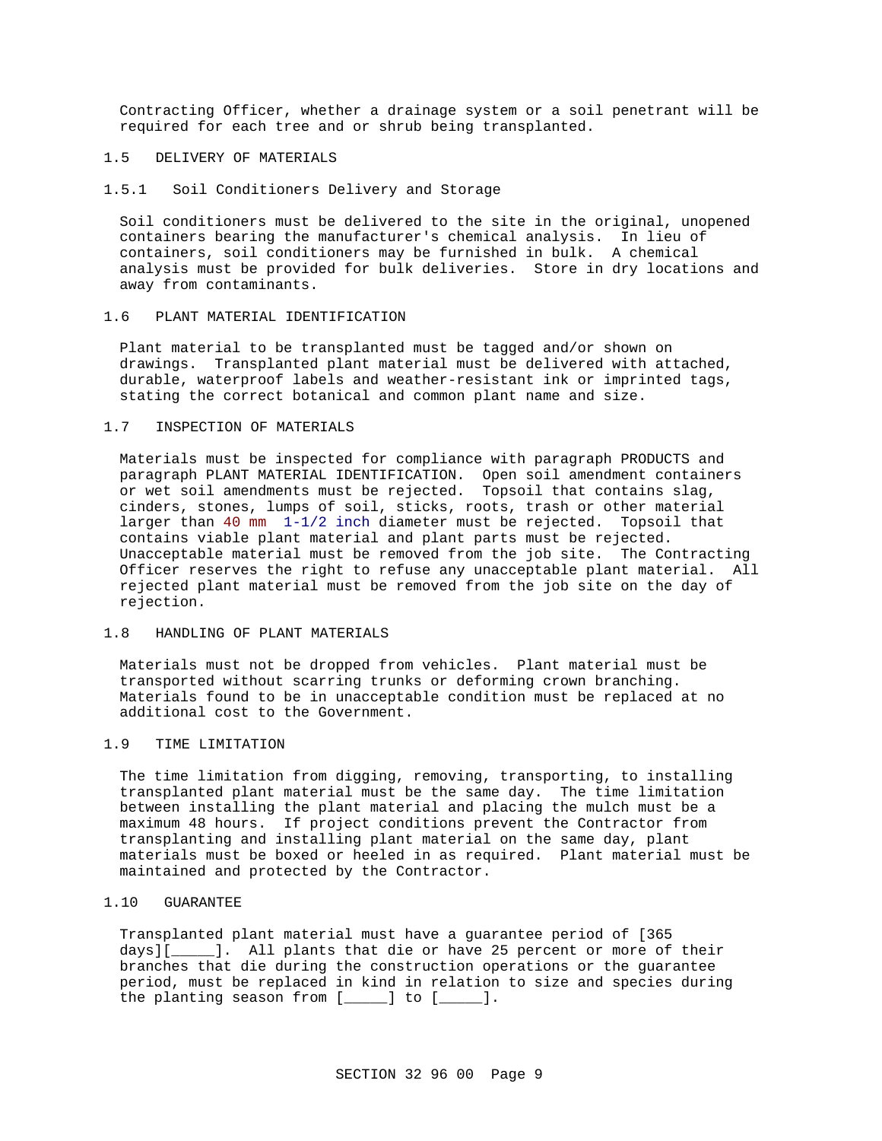Contracting Officer, whether a drainage system or a soil penetrant will be required for each tree and or shrub being transplanted.

## 1.5 DELIVERY OF MATERIALS

### 1.5.1 Soil Conditioners Delivery and Storage

Soil conditioners must be delivered to the site in the original, unopened containers bearing the manufacturer's chemical analysis. In lieu of containers, soil conditioners may be furnished in bulk. A chemical analysis must be provided for bulk deliveries. Store in dry locations and away from contaminants.

#### 1.6 PLANT MATERIAL IDENTIFICATION

Plant material to be transplanted must be tagged and/or shown on drawings. Transplanted plant material must be delivered with attached, durable, waterproof labels and weather-resistant ink or imprinted tags, stating the correct botanical and common plant name and size.

## 1.7 INSPECTION OF MATERIALS

Materials must be inspected for compliance with paragraph PRODUCTS and paragraph PLANT MATERIAL IDENTIFICATION. Open soil amendment containers or wet soil amendments must be rejected. Topsoil that contains slag, cinders, stones, lumps of soil, sticks, roots, trash or other material larger than 40 mm 1-1/2 inch diameter must be rejected. Topsoil that contains viable plant material and plant parts must be rejected. Unacceptable material must be removed from the job site. The Contracting Officer reserves the right to refuse any unacceptable plant material. All rejected plant material must be removed from the job site on the day of rejection.

### 1.8 HANDLING OF PLANT MATERIALS

Materials must not be dropped from vehicles. Plant material must be transported without scarring trunks or deforming crown branching. Materials found to be in unacceptable condition must be replaced at no additional cost to the Government.

# 1.9 TIME LIMITATION

The time limitation from digging, removing, transporting, to installing transplanted plant material must be the same day. The time limitation between installing the plant material and placing the mulch must be a maximum 48 hours. If project conditions prevent the Contractor from transplanting and installing plant material on the same day, plant materials must be boxed or heeled in as required. Plant material must be maintained and protected by the Contractor.

## 1.10 GUARANTEE

Transplanted plant material must have a guarantee period of [365 days][\_\_\_\_\_]. All plants that die or have 25 percent or more of their branches that die during the construction operations or the guarantee period, must be replaced in kind in relation to size and species during the planting season from [\_\_\_\_\_] to [\_\_\_\_\_].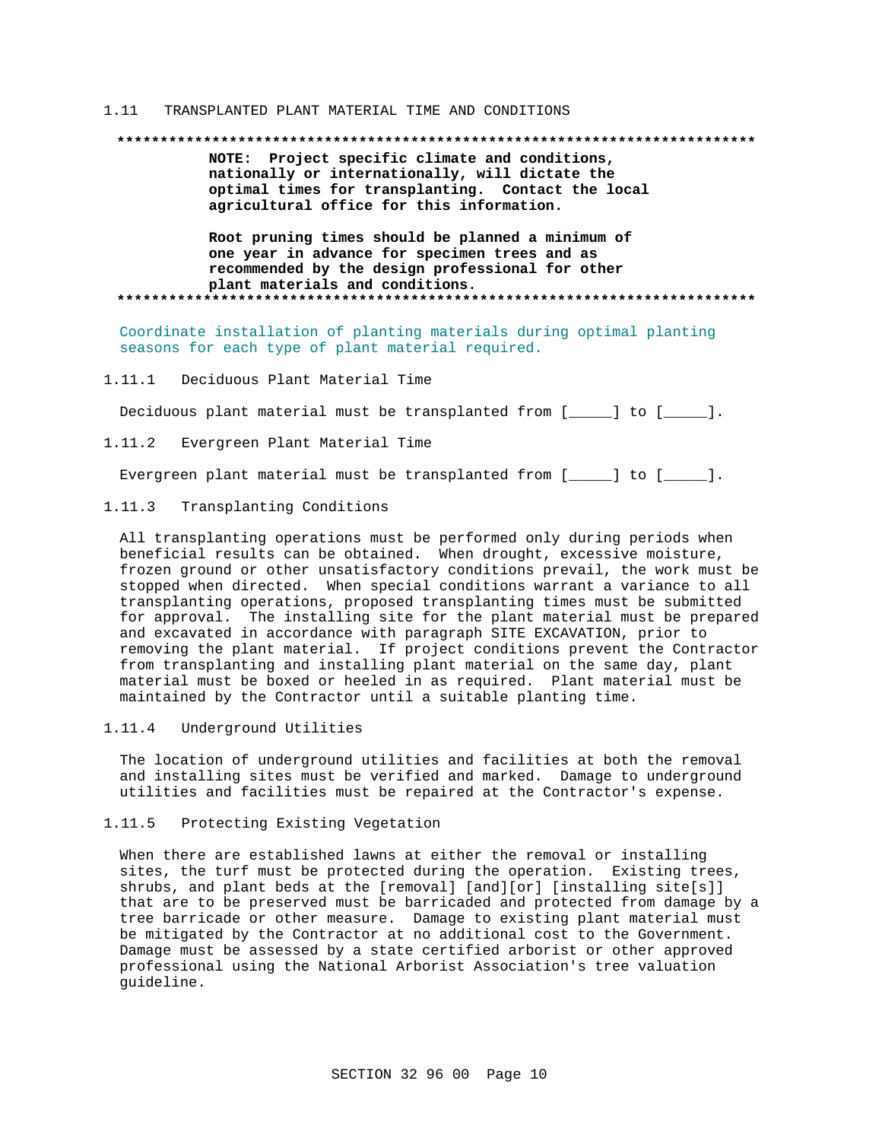#### $1.11$ TRANSPLANTED PLANT MATERIAL TIME AND CONDITIONS

#### 

NOTE: Project specific climate and conditions, nationally or internationally, will dictate the optimal times for transplanting. Contact the local agricultural office for this information.

Root pruning times should be planned a minimum of one year in advance for specimen trees and as recommended by the design professional for other plant materials and conditions. 

Coordinate installation of planting materials during optimal planting seasons for each type of plant material required.

 $1.11.1$ Deciduous Plant Material Time

Deciduous plant material must be transplanted from [\_\_\_\_\_] to [\_\_\_\_\_].

 $1 \t11 \t2$ Evergreen Plant Material Time

Evergreen plant material must be transplanted from [\_\_\_\_\_] to [\_\_\_\_\_].

#### $1.11.3$ Transplanting Conditions

All transplanting operations must be performed only during periods when beneficial results can be obtained. When drought, excessive moisture, frozen ground or other unsatisfactory conditions prevail, the work must be stopped when directed. When special conditions warrant a variance to all transplanting operations, proposed transplanting times must be submitted for approval. The installing site for the plant material must be prepared and excavated in accordance with paragraph SITE EXCAVATION, prior to removing the plant material. If project conditions prevent the Contractor from transplanting and installing plant material on the same day, plant material must be boxed or heeled in as required. Plant material must be maintained by the Contractor until a suitable planting time.

Underground Utilities 1.11.4

The location of underground utilities and facilities at both the removal and installing sites must be verified and marked. Damage to underground utilities and facilities must be repaired at the Contractor's expense.

#### $1.11.5$ Protecting Existing Vegetation

When there are established lawns at either the removal or installing sites, the turf must be protected during the operation. Existing trees, shrubs, and plant beds at the [removal] [and][or] [installing site[s]] that are to be preserved must be barricaded and protected from damage by a tree barricade or other measure. Damage to existing plant material must be mitigated by the Contractor at no additional cost to the Government. Damage must be assessed by a state certified arborist or other approved professional using the National Arborist Association's tree valuation quideline.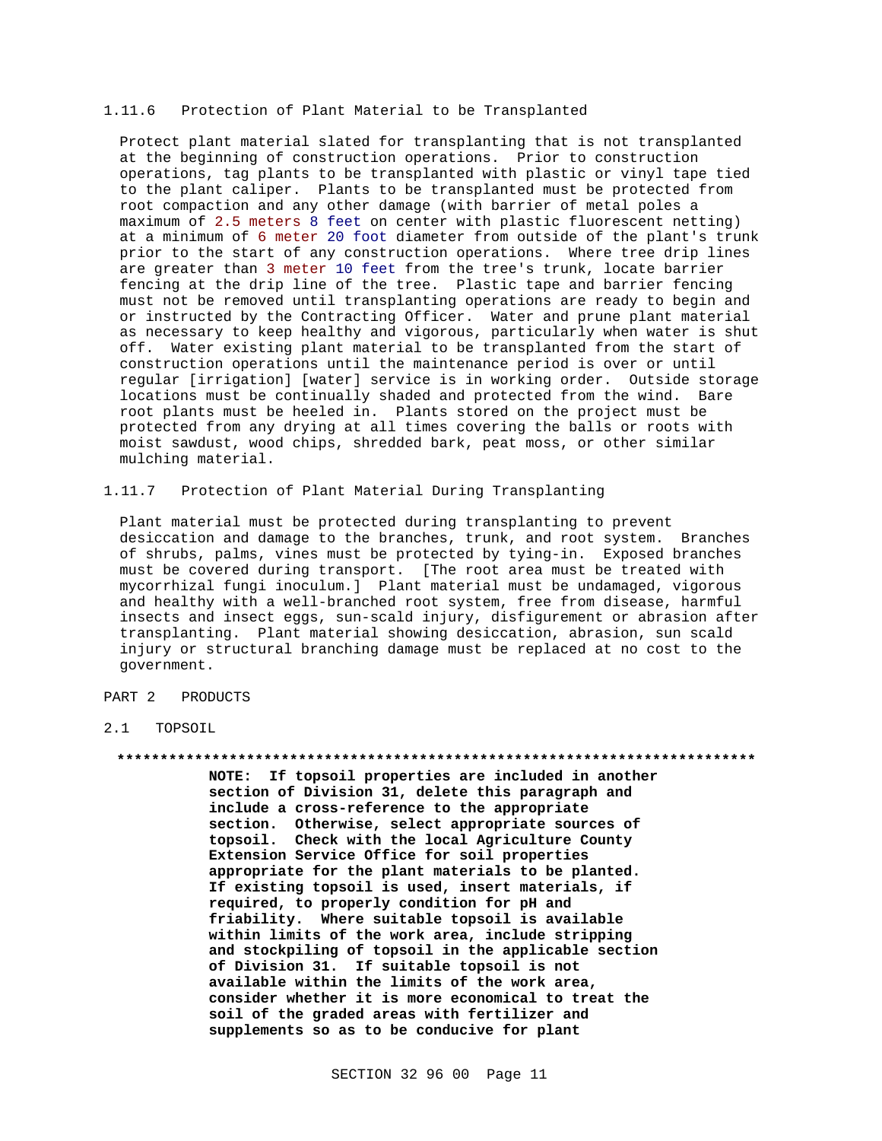### 1.11.6 Protection of Plant Material to be Transplanted

Protect plant material slated for transplanting that is not transplanted at the beginning of construction operations. Prior to construction operations, tag plants to be transplanted with plastic or vinyl tape tied to the plant caliper. Plants to be transplanted must be protected from root compaction and any other damage (with barrier of metal poles a maximum of 2.5 meters 8 feet on center with plastic fluorescent netting) at a minimum of 6 meter 20 foot diameter from outside of the plant's trunk prior to the start of any construction operations. Where tree drip lines are greater than 3 meter 10 feet from the tree's trunk, locate barrier fencing at the drip line of the tree. Plastic tape and barrier fencing must not be removed until transplanting operations are ready to begin and or instructed by the Contracting Officer. Water and prune plant material as necessary to keep healthy and vigorous, particularly when water is shut off. Water existing plant material to be transplanted from the start of construction operations until the maintenance period is over or until regular [irrigation] [water] service is in working order. Outside storage locations must be continually shaded and protected from the wind. Bare root plants must be heeled in. Plants stored on the project must be protected from any drying at all times covering the balls or roots with moist sawdust, wood chips, shredded bark, peat moss, or other similar mulching material.

1.11.7 Protection of Plant Material During Transplanting

Plant material must be protected during transplanting to prevent desiccation and damage to the branches, trunk, and root system. Branches of shrubs, palms, vines must be protected by tying-in. Exposed branches must be covered during transport. [The root area must be treated with mycorrhizal fungi inoculum.] Plant material must be undamaged, vigorous and healthy with a well-branched root system, free from disease, harmful insects and insect eggs, sun-scald injury, disfigurement or abrasion after transplanting. Plant material showing desiccation, abrasion, sun scald injury or structural branching damage must be replaced at no cost to the government.

## PART 2 PRODUCTS

## 2.1 TOPSOIL

#### **\*\*\*\*\*\*\*\*\*\*\*\*\*\*\*\*\*\*\*\*\*\*\*\*\*\*\*\*\*\*\*\*\*\*\*\*\*\*\*\*\*\*\*\*\*\*\*\*\*\*\*\*\*\*\*\*\*\*\*\*\*\*\*\*\*\*\*\*\*\*\*\*\*\***

**NOTE: If topsoil properties are included in another section of Division 31, delete this paragraph and include a cross-reference to the appropriate section. Otherwise, select appropriate sources of topsoil. Check with the local Agriculture County Extension Service Office for soil properties appropriate for the plant materials to be planted. If existing topsoil is used, insert materials, if required, to properly condition for pH and friability. Where suitable topsoil is available within limits of the work area, include stripping and stockpiling of topsoil in the applicable section of Division 31. If suitable topsoil is not available within the limits of the work area, consider whether it is more economical to treat the soil of the graded areas with fertilizer and supplements so as to be conducive for plant**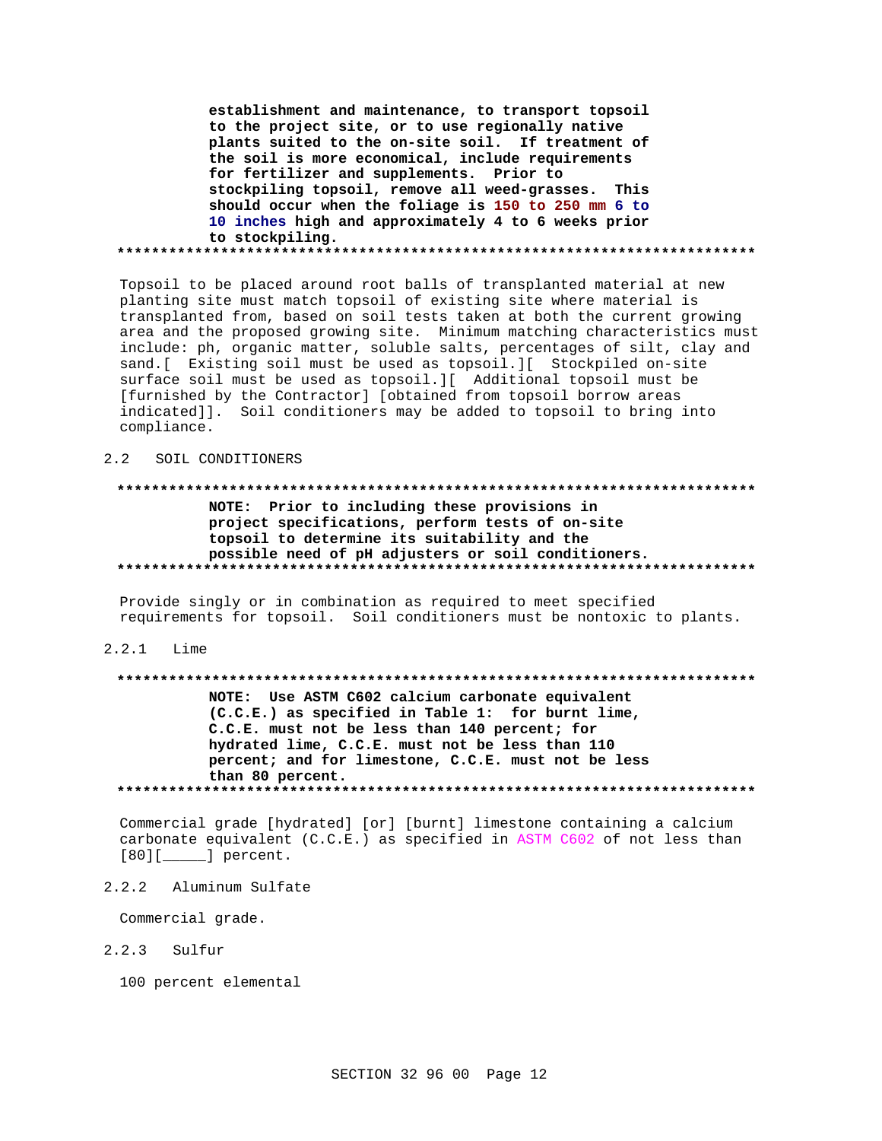establishment and maintenance, to transport topsoil to the project site, or to use regionally native plants suited to the on-site soil. If treatment of the soil is more economical, include requirements for fertilizer and supplements. Prior to stockpiling topsoil, remove all weed-grasses. This should occur when the foliage is 150 to 250 mm 6 to 10 inches high and approximately 4 to 6 weeks prior to stockpiling. 

Topsoil to be placed around root balls of transplanted material at new planting site must match topsoil of existing site where material is transplanted from, based on soil tests taken at both the current growing area and the proposed growing site. Minimum matching characteristics must include: ph, organic matter, soluble salts, percentages of silt, clay and sand. [ Existing soil must be used as topsoil. ] [ Stockpiled on-site surface soil must be used as topsoil. [ Additional topsoil must be [furnished by the Contractor] [obtained from topsoil borrow areas indicated]]. Soil conditioners may be added to topsoil to bring into compliance.

#### $2.2$ SOIL CONDITIONERS

## NOTE: Prior to including these provisions in project specifications, perform tests of on-site topsoil to determine its suitability and the possible need of pH adjusters or soil conditioners.

Provide singly or in combination as required to meet specified requirements for topsoil. Soil conditioners must be nontoxic to plants.

### $2.2.1$  Lime

# NOTE: Use ASTM C602 calcium carbonate equivalent (C.C.E.) as specified in Table 1: for burnt lime, C.C.E. must not be less than 140 percent; for hydrated lime, C.C.E. must not be less than 110 percent; and for limestone, C.C.E. must not be less than 80 percent.

Commercial grade [hydrated] [or] [burnt] limestone containing a calcium carbonate equivalent (C.C.E.) as specified in ASTM C602 of not less than  $[80][$   $]$  percent.

 $2.2.2$ Aluminum Sulfate

Commercial grade.

- $2.2.3$ Sulfur
	- 100 percent elemental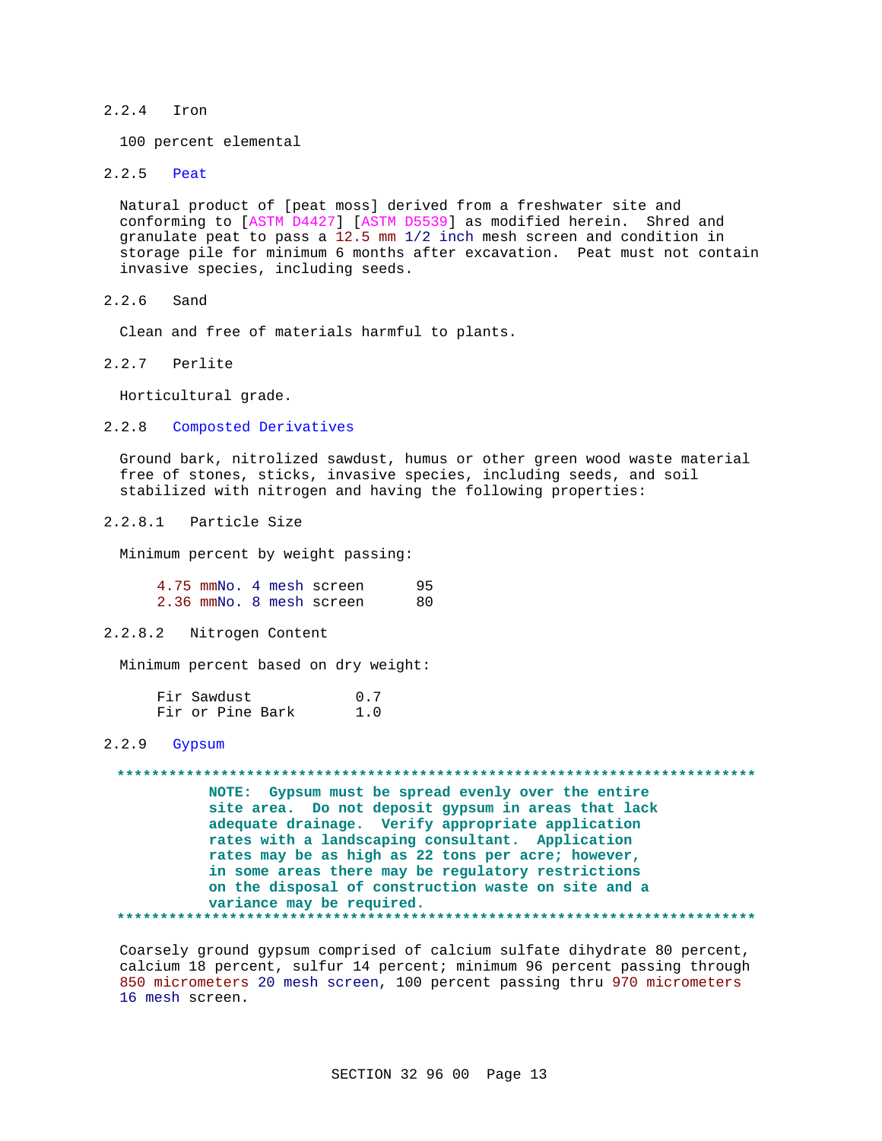#### $2.2.4$ Tron

100 percent elemental

#### $2.2.5$ Peat

Natural product of [peat moss] derived from a freshwater site and conforming to [ASTM D4427] [ASTM D5539] as modified herein. Shred and granulate peat to pass a 12.5 mm 1/2 inch mesh screen and condition in storage pile for minimum 6 months after excavation. Peat must not contain invasive species, including seeds.

 $2, 2, 6$ Sand

Clean and free of materials harmful to plants.

 $2.2.7$ Perlite

Horticultural grade.

#### $2.2.8$ Composted Derivatives

Ground bark, nitrolized sawdust, humus or other green wood waste material free of stones, sticks, invasive species, including seeds, and soil stabilized with nitrogen and having the following properties:

#### $2.2.8.1$ Particle Size

Minimum percent by weight passing:

4.75 mmNo. 4 mesh screen  $95$ 2.36 mmNo. 8 mesh screen 80

 $2.2.8.2$ Nitrogen Content

Minimum percent based on dry weight:

| Fir Sawdust |                  |  | 0.7 |  |
|-------------|------------------|--|-----|--|
|             | Fir or Pine Bark |  | 1.0 |  |

## 2.2.9 Gypsum

NOTE: Gypsum must be spread evenly over the entire site area. Do not deposit gypsum in areas that lack adequate drainage. Verify appropriate application rates with a landscaping consultant. Application rates may be as high as 22 tons per acre; however, in some areas there may be regulatory restrictions on the disposal of construction waste on site and a variance may be required. 

Coarsely ground gypsum comprised of calcium sulfate dihydrate 80 percent, calcium 18 percent, sulfur 14 percent; minimum 96 percent passing through 850 micrometers 20 mesh screen, 100 percent passing thru 970 micrometers 16 mesh screen.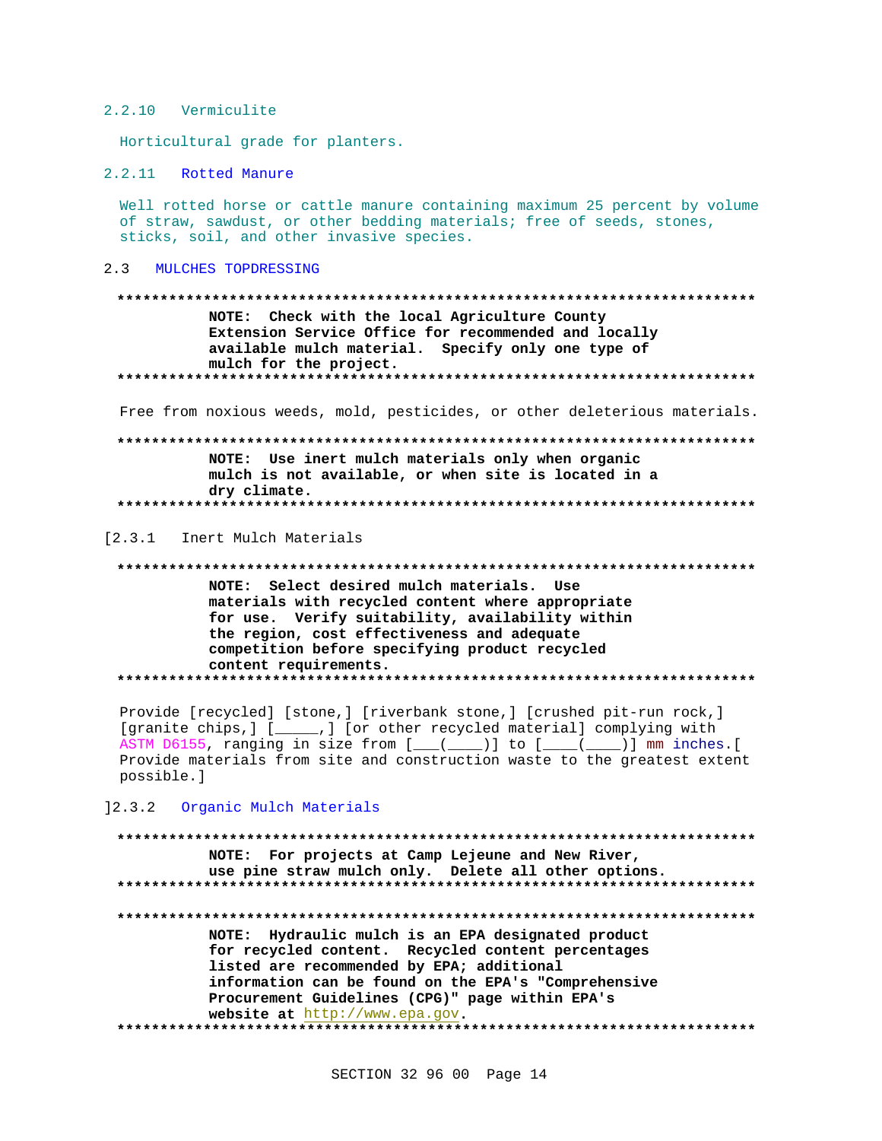### 2.2.10 Vermiculite

Horticultural grade for planters.

2.2.11 Rotted Manure

Well rotted horse or cattle manure containing maximum 25 percent by volume of straw, sawdust, or other bedding materials; free of seeds, stones, sticks, soil, and other invasive species.

#### $2.3$ MULCHES TOPDRESSING

NOTE: Check with the local Agriculture County Extension Service Office for recommended and locally available mulch material. Specify only one type of mulch for the project. 

Free from noxious weeds, mold, pesticides, or other deleterious materials.

# NOTE: Use inert mulch materials only when organic mulch is not available, or when site is located in a dry climate.

[2.3.1 Inert Mulch Materials

NOTE: Select desired mulch materials. Use materials with recycled content where appropriate for use. Verify suitability, availability within the region, cost effectiveness and adequate competition before specifying product recycled content requirements. 

Provide [recycled] [stone,] [riverbank stone,] [crushed pit-run rock,] [granite chips,] [\_\_\_\_\_\_,] [or other recycled material] complying with ASTM D6155, ranging in size from  $[$   $($   $($   $)$   $]$  to  $[$   $($   $($   $)$   $]$  mm inches. Provide materials from site and construction waste to the greatest extent possible.]

12.3.2 Organic Mulch Materials

# NOTE: For projects at Camp Lejeune and New River, use pine straw mulch only. Delete all other options. NOTE: Hydraulic mulch is an EPA designated product for recycled content. Recycled content percentages listed are recommended by EPA; additional information can be found on the EPA's "Comprehensive Procurement Guidelines (CPG)" page within EPA's website at http://www.epa.gov.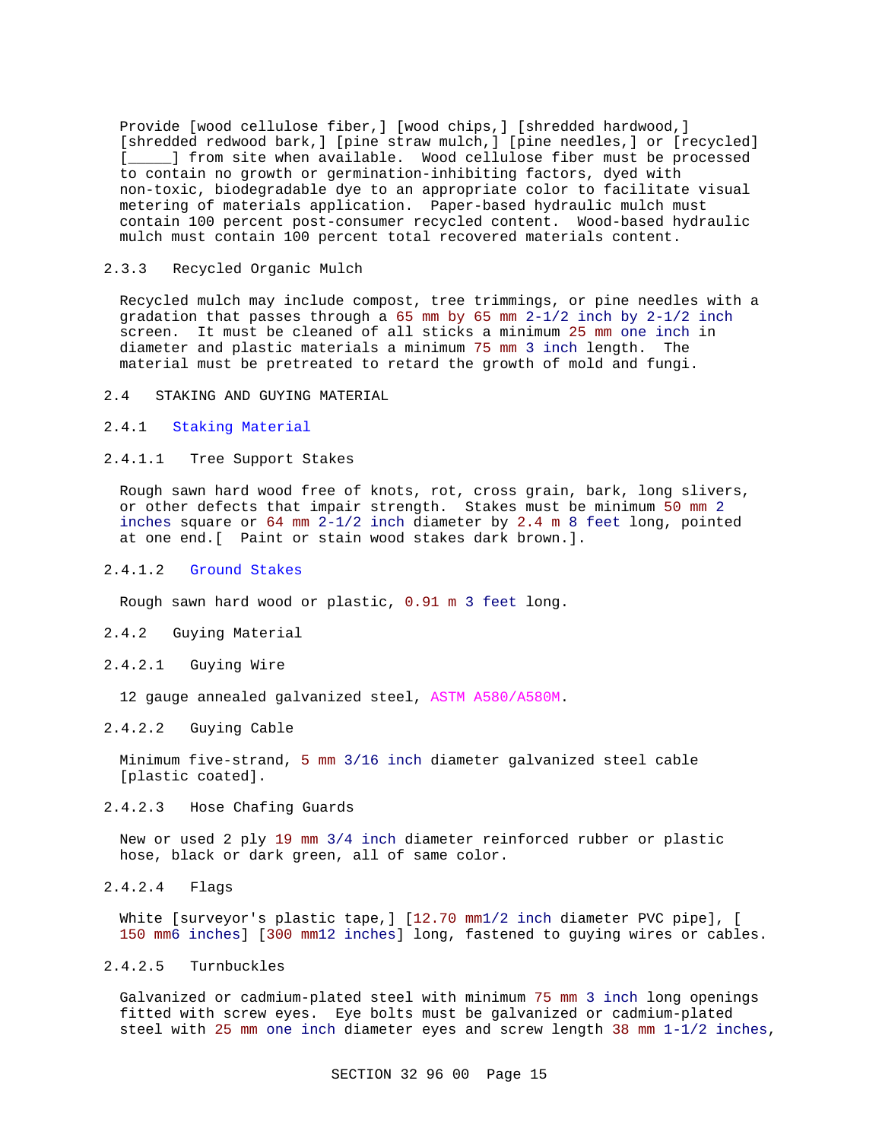Provide [wood cellulose fiber,] [wood chips,] [shredded hardwood,] [shredded redwood bark,] [pine straw mulch,] [pine needles,] or [recycled] [\_\_\_\_\_] from site when available. Wood cellulose fiber must be processed to contain no growth or germination-inhibiting factors, dyed with non-toxic, biodegradable dye to an appropriate color to facilitate visual metering of materials application. Paper-based hydraulic mulch must contain 100 percent post-consumer recycled content. Wood-based hydraulic mulch must contain 100 percent total recovered materials content.

### 2.3.3 Recycled Organic Mulch

Recycled mulch may include compost, tree trimmings, or pine needles with a gradation that passes through a 65 mm by 65 mm  $2-1/2$  inch by  $2-1/2$  inch screen. It must be cleaned of all sticks a minimum 25 mm one inch in diameter and plastic materials a minimum 75 mm 3 inch length. The material must be pretreated to retard the growth of mold and fungi.

### 2.4 STAKING AND GUYING MATERIAL

## 2.4.1 Staking Material

#### 2.4.1.1 Tree Support Stakes

Rough sawn hard wood free of knots, rot, cross grain, bark, long slivers, or other defects that impair strength. Stakes must be minimum 50 mm 2 inches square or 64 mm 2-1/2 inch diameter by 2.4 m 8 feet long, pointed at one end.[ Paint or stain wood stakes dark brown.].

### 2.4.1.2 Ground Stakes

Rough sawn hard wood or plastic, 0.91 m 3 feet long.

### 2.4.2 Guying Material

#### 2.4.2.1 Guying Wire

12 gauge annealed galvanized steel, ASTM A580/A580M.

# 2.4.2.2 Guying Cable

Minimum five-strand, 5 mm 3/16 inch diameter galvanized steel cable [plastic coated].

### 2.4.2.3 Hose Chafing Guards

New or used 2 ply 19 mm 3/4 inch diameter reinforced rubber or plastic hose, black or dark green, all of same color.

2.4.2.4 Flags

White [surveyor's plastic tape,] [12.70 mm1/2 inch diameter PVC pipe], [ 150 mm6 inches] [300 mm12 inches] long, fastened to guying wires or cables.

### 2.4.2.5 Turnbuckles

Galvanized or cadmium-plated steel with minimum 75 mm 3 inch long openings fitted with screw eyes. Eye bolts must be galvanized or cadmium-plated steel with 25 mm one inch diameter eyes and screw length 38 mm 1-1/2 inches,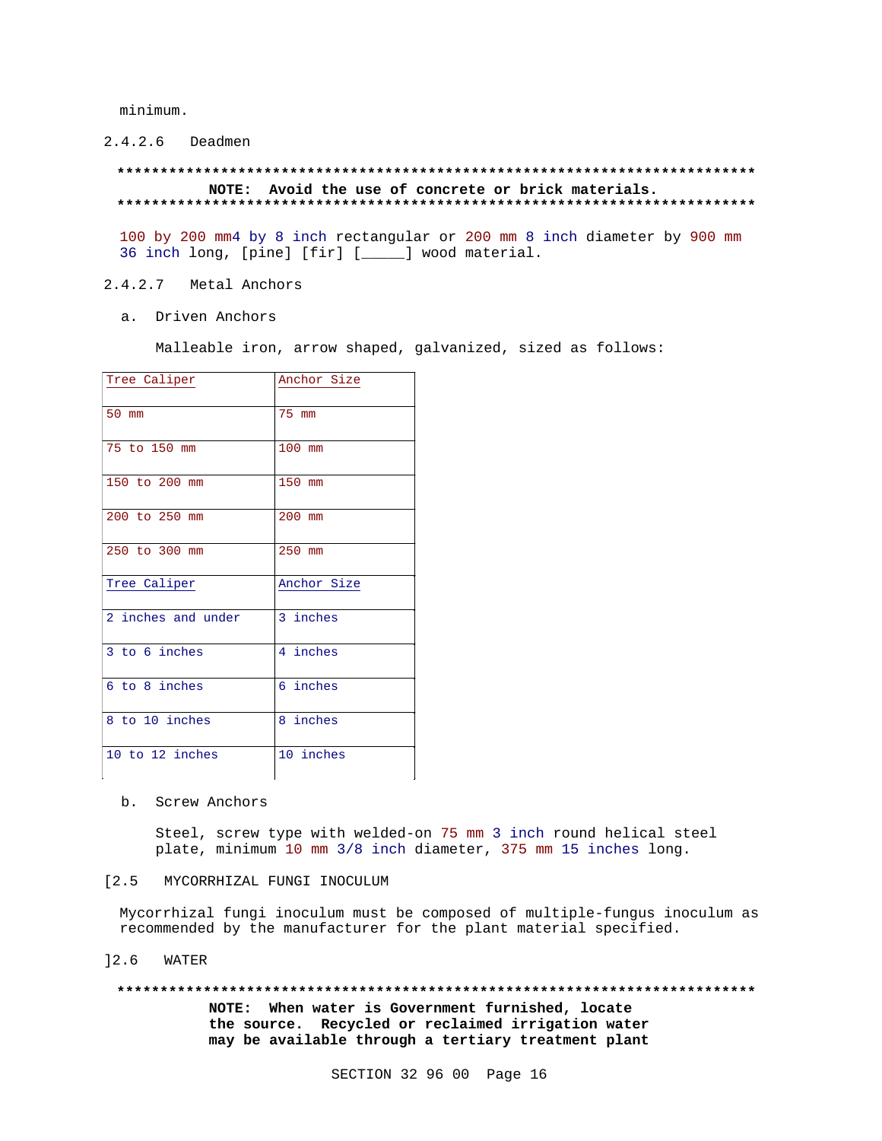minimum.

2.4.2.6 Deadmen

## NOTE: Avoid the use of concrete or brick materials.

100 by 200 mm4 by 8 inch rectangular or 200 mm 8 inch diameter by 900 mm 36 inch long, [pine] [fir] [\_\_\_\_] wood material.

#### $2.4.2.7$ Metal Anchors

a. Driven Anchors

Malleable iron, arrow shaped, galvanized, sized as follows:

| Tree Caliper       | Anchor Size |  |
|--------------------|-------------|--|
|                    |             |  |
| 50 mm              | 75 mm       |  |
|                    |             |  |
| 75 to 150 mm       | 100 mm      |  |
|                    |             |  |
| 150 to 200 mm      | 150 mm      |  |
|                    |             |  |
| 200 to 250 mm      | $200$ mm    |  |
|                    |             |  |
| 250 to 300 mm      | 250 mm      |  |
|                    |             |  |
| Tree Caliper       | Anchor Size |  |
|                    |             |  |
| 2 inches and under | 3 inches    |  |
|                    |             |  |
| 3 to 6 inches      | 4 inches    |  |
|                    |             |  |
| 6 to 8 inches      | 6 inches    |  |
|                    |             |  |
| 8 to 10 inches     | 8 inches    |  |
|                    |             |  |
| 10 to 12 inches    | 10 inches   |  |
|                    |             |  |

#### b. Screw Anchors

Steel, screw type with welded-on 75 mm 3 inch round helical steel plate, minimum 10 mm 3/8 inch diameter, 375 mm 15 inches long.

## [2.5 MYCORRHIZAL FUNGI INOCULUM

Mycorrhizal fungi inoculum must be composed of multiple-fungus inoculum as recommended by the manufacturer for the plant material specified.

 $]2.6$ WATER

#### 

NOTE: When water is Government furnished, locate the source. Recycled or reclaimed irrigation water may be available through a tertiary treatment plant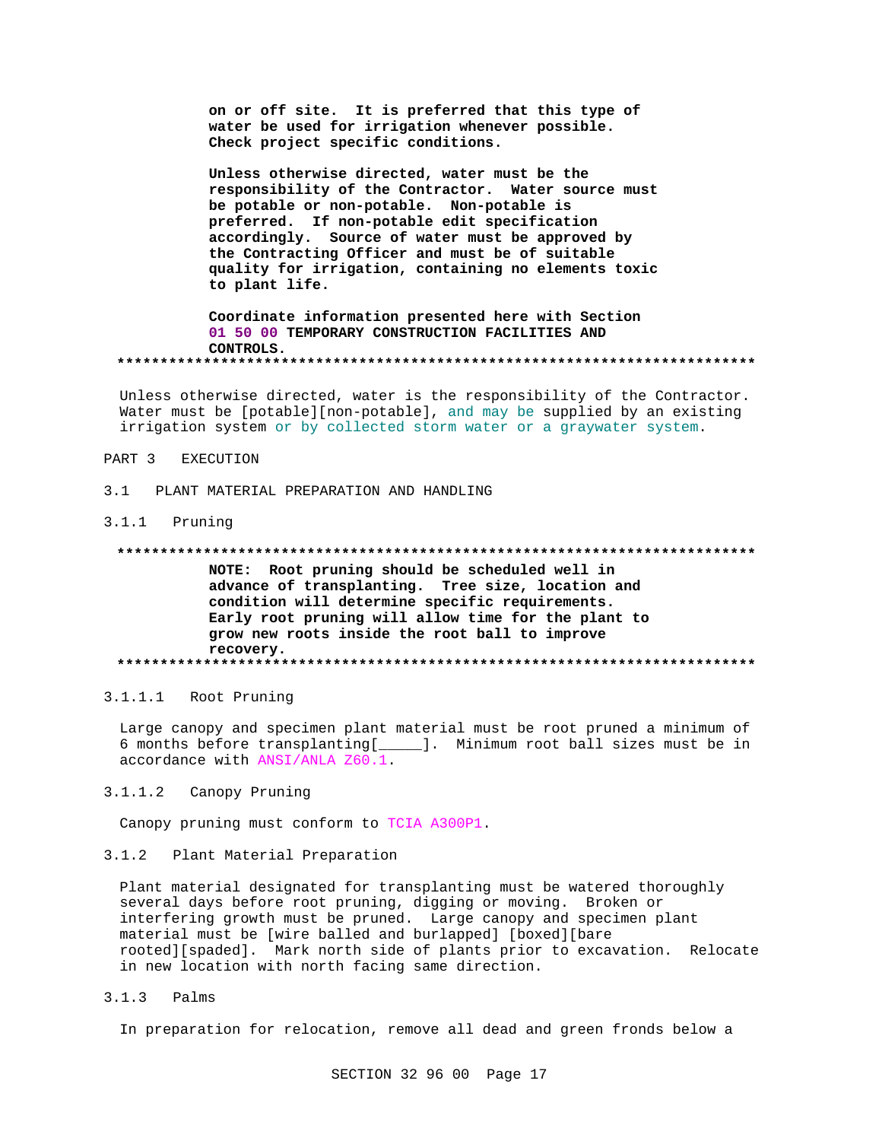on or off site. It is preferred that this type of water be used for irrigation whenever possible. Check project specific conditions.

Unless otherwise directed, water must be the responsibility of the Contractor. Water source must be potable or non-potable. Non-potable is preferred. If non-potable edit specification accordingly. Source of water must be approved by the Contracting Officer and must be of suitable quality for irrigation, containing no elements toxic to plant life.

Coordinate information presented here with Section 01 50 00 TEMPORARY CONSTRUCTION FACILITIES AND CONTROLS. 

Unless otherwise directed, water is the responsibility of the Contractor. Water must be [potable][non-potable], and may be supplied by an existing irrigation system or by collected storm water or a graywater system.

#### PART 3 EXECUTION

 $3<sub>1</sub>$ PLANT MATERIAL PREPARATION AND HANDLING

#### 3.1.1 Pruning

#### 

NOTE: Root pruning should be scheduled well in advance of transplanting. Tree size, location and condition will determine specific requirements. Early root pruning will allow time for the plant to grow new roots inside the root ball to improve recovery. 

### 3.1.1.1 Root Pruning

Large canopy and specimen plant material must be root pruned a minimum of 6 months before transplanting [\_\_\_\_\_\_]. Minimum root ball sizes must be in accordance with ANSI/ANLA Z60.1.

#### $3.1.1.2$ Canopy Pruning

Canopy pruning must conform to TCIA A300P1.

#### $3.1.2$ Plant Material Preparation

Plant material designated for transplanting must be watered thoroughly several days before root pruning, digging or moving. Broken or interfering growth must be pruned. Large canopy and specimen plant material must be [wire balled and burlapped] [boxed][bare rooted][spaded]. Mark north side of plants prior to excavation. Relocate in new location with north facing same direction.

 $3.1.3$ Palms

In preparation for relocation, remove all dead and green fronds below a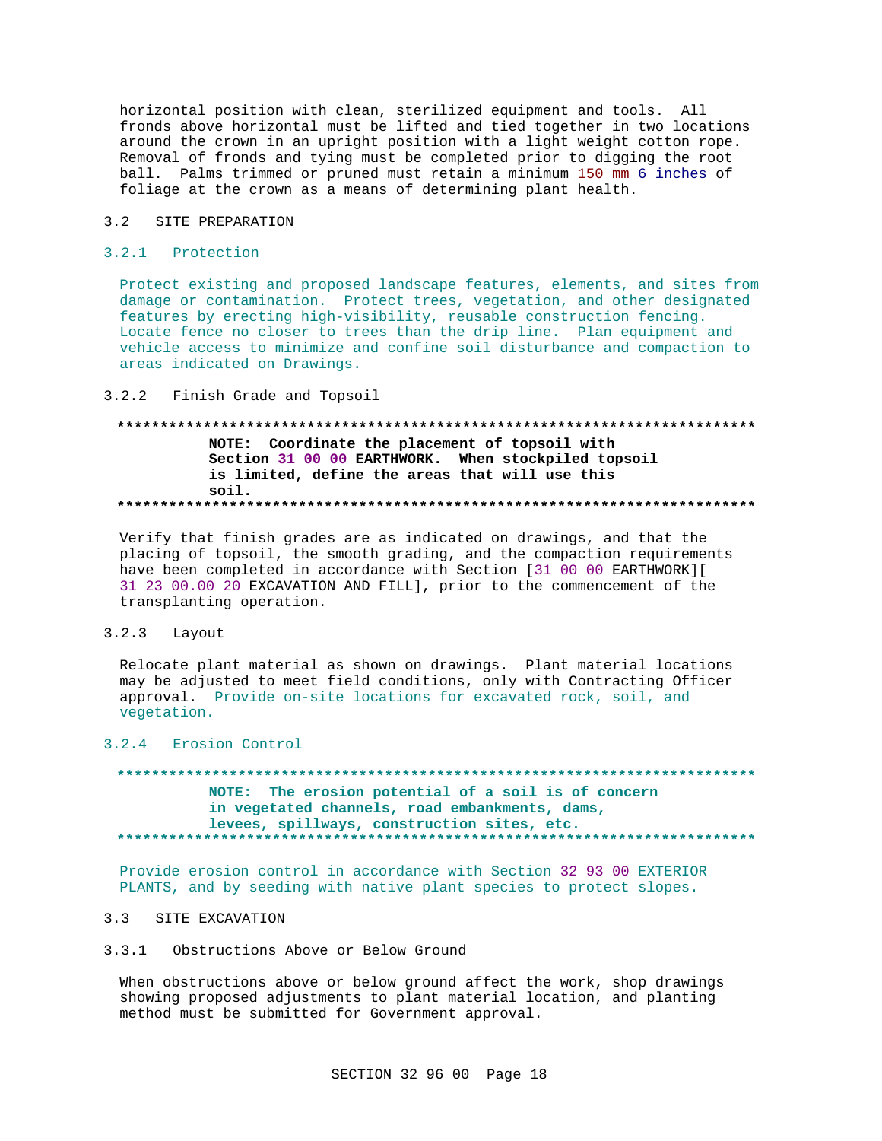horizontal position with clean, sterilized equipment and tools. All fronds above horizontal must be lifted and tied together in two locations around the crown in an upright position with a light weight cotton rope. Removal of fronds and tying must be completed prior to digging the root ball. Palms trimmed or pruned must retain a minimum 150 mm 6 inches of foliage at the crown as a means of determining plant health.

#### $3.2$ SITE PREPARATION

### 3.2.1 Protection

Protect existing and proposed landscape features, elements, and sites from damage or contamination. Protect trees, vegetation, and other designated features by erecting high-visibility, reusable construction fencing. Locate fence no closer to trees than the drip line. Plan equipment and vehicle access to minimize and confine soil disturbance and compaction to areas indicated on Drawings.

 $3.2.2$ Finish Grade and Topsoil

## NOTE: Coordinate the placement of topsoil with Section 31 00 00 EARTHWORK. When stockpiled topsoil is limited, define the areas that will use this soil.

Verify that finish grades are as indicated on drawings, and that the placing of topsoil, the smooth grading, and the compaction requirements have been completed in accordance with Section [31 00 00 EARTHWORK][ 31 23 00.00 20 EXCAVATION AND FILL], prior to the commencement of the transplanting operation.

#### $3.2.3$ Layout

Relocate plant material as shown on drawings. Plant material locations may be adjusted to meet field conditions, only with Contracting Officer approval. Provide on-site locations for excavated rock, soil, and vegetation.

### 3.2.4 Erosion Control

#### NOTE: The erosion potential of a soil is of concern in vegetated channels, road embankments, dams, levees, spillways, construction sites, etc. ..........................

Provide erosion control in accordance with Section 32 93 00 EXTERIOR PLANTS, and by seeding with native plant species to protect slopes.

## 3.3 SITE EXCAVATION

#### $3.3.1$ Obstructions Above or Below Ground

When obstructions above or below ground affect the work, shop drawings showing proposed adjustments to plant material location, and planting method must be submitted for Government approval.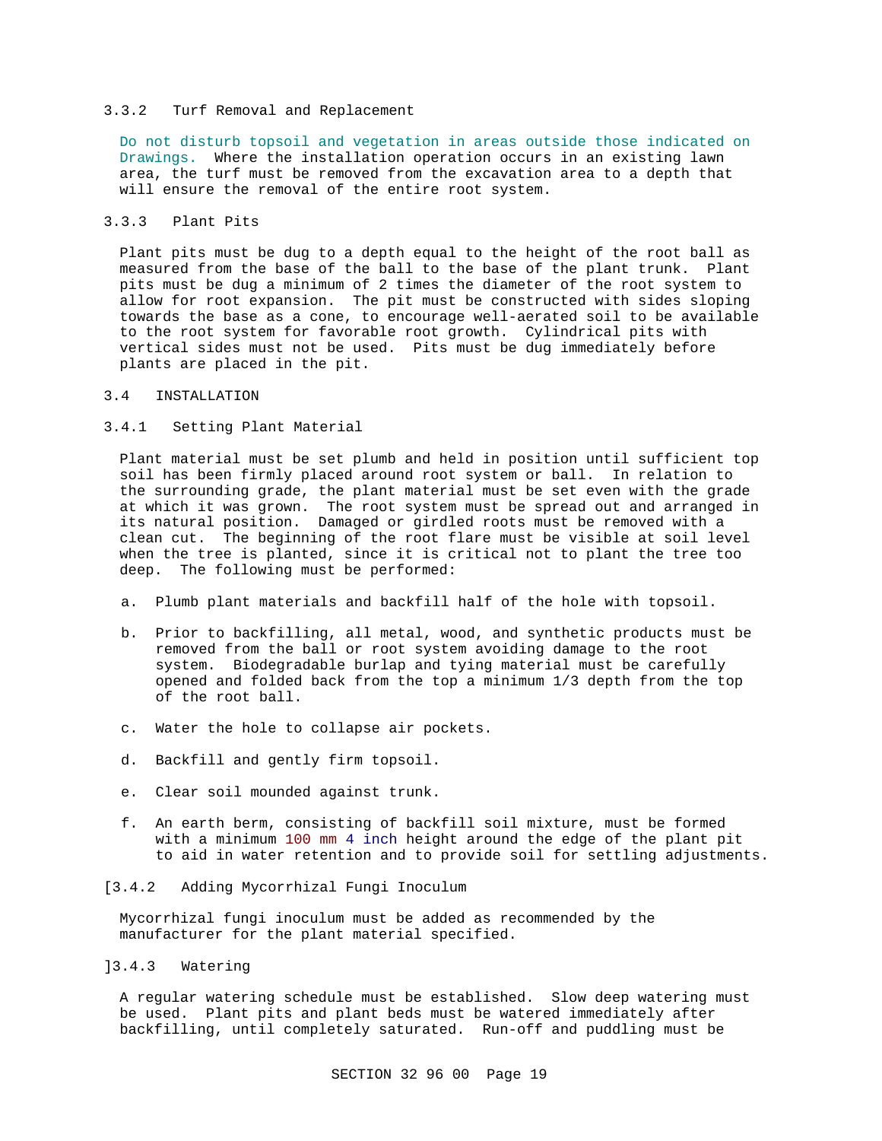### 3.3.2 Turf Removal and Replacement

Do not disturb topsoil and vegetation in areas outside those indicated on Drawings. Where the installation operation occurs in an existing lawn area, the turf must be removed from the excavation area to a depth that will ensure the removal of the entire root system.

## 3.3.3 Plant Pits

Plant pits must be dug to a depth equal to the height of the root ball as measured from the base of the ball to the base of the plant trunk. Plant pits must be dug a minimum of 2 times the diameter of the root system to allow for root expansion. The pit must be constructed with sides sloping towards the base as a cone, to encourage well-aerated soil to be available to the root system for favorable root growth. Cylindrical pits with vertical sides must not be used. Pits must be dug immediately before plants are placed in the pit.

### 3.4 INSTALLATION

## 3.4.1 Setting Plant Material

Plant material must be set plumb and held in position until sufficient top soil has been firmly placed around root system or ball. In relation to the surrounding grade, the plant material must be set even with the grade at which it was grown. The root system must be spread out and arranged in its natural position. Damaged or girdled roots must be removed with a clean cut. The beginning of the root flare must be visible at soil level when the tree is planted, since it is critical not to plant the tree too deep. The following must be performed:

- a. Plumb plant materials and backfill half of the hole with topsoil.
- b. Prior to backfilling, all metal, wood, and synthetic products must be removed from the ball or root system avoiding damage to the root system. Biodegradable burlap and tying material must be carefully opened and folded back from the top a minimum 1/3 depth from the top of the root ball.
- c. Water the hole to collapse air pockets.
- d. Backfill and gently firm topsoil.
- e. Clear soil mounded against trunk.
- f. An earth berm, consisting of backfill soil mixture, must be formed with a minimum 100 mm 4 inch height around the edge of the plant pit to aid in water retention and to provide soil for settling adjustments.
- [3.4.2 Adding Mycorrhizal Fungi Inoculum

Mycorrhizal fungi inoculum must be added as recommended by the manufacturer for the plant material specified.

### ]3.4.3 Watering

A regular watering schedule must be established. Slow deep watering must be used. Plant pits and plant beds must be watered immediately after backfilling, until completely saturated. Run-off and puddling must be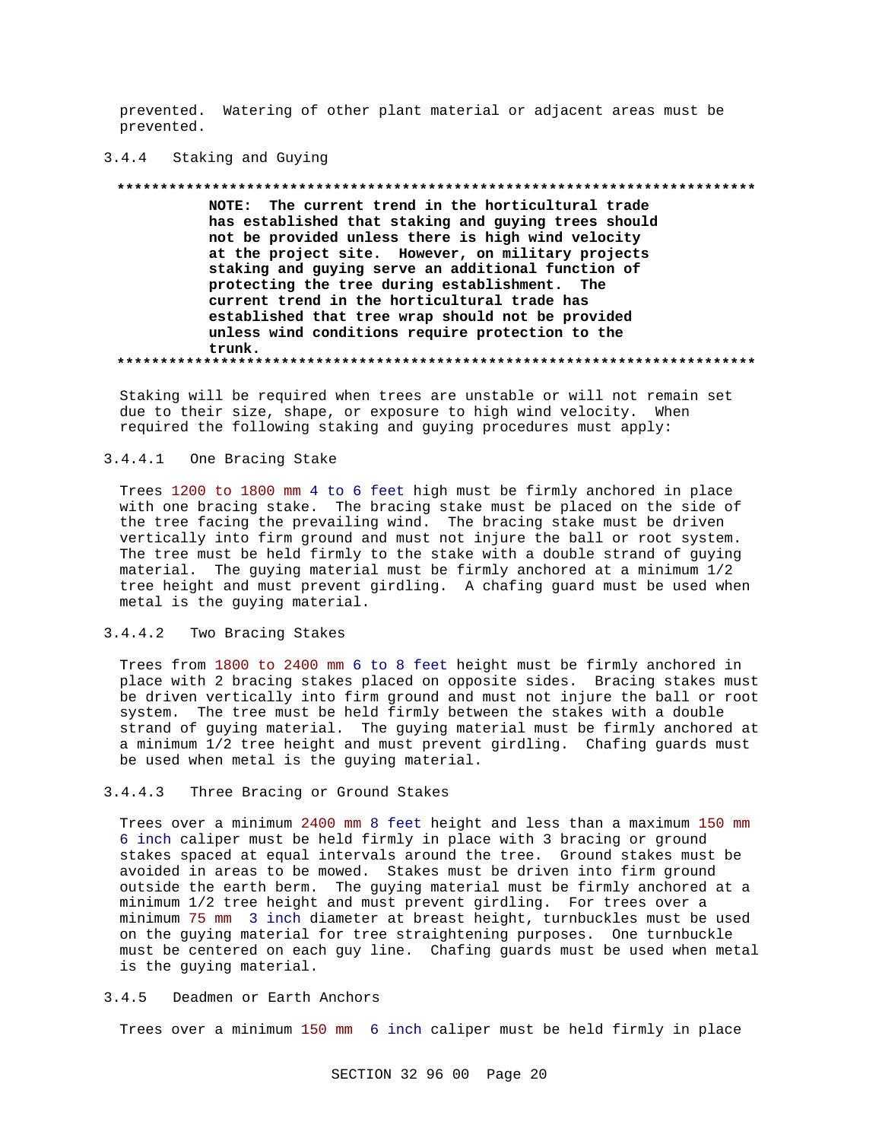prevented. Watering of other plant material or adjacent areas must be prevented.

#### $3.4.4$ Staking and Guying

### \*\*\*\*\*\*\*\*\*\*\*\*\*\*\* NOTE: The current trend in the horticultural trade has established that staking and guying trees should not be provided unless there is high wind velocity at the project site. However, on military projects staking and guying serve an additional function of protecting the tree during establishment. The current trend in the horticultural trade has established that tree wrap should not be provided unless wind conditions require protection to the trunk.

Staking will be required when trees are unstable or will not remain set due to their size, shape, or exposure to high wind velocity. When required the following staking and guying procedures must apply:

#### $3.4.4.1$ One Bracing Stake

Trees 1200 to 1800 mm 4 to 6 feet high must be firmly anchored in place with one bracing stake. The bracing stake must be placed on the side of the tree facing the prevailing wind. The bracing stake must be driven vertically into firm ground and must not injure the ball or root system. The tree must be held firmly to the stake with a double strand of guying material. The guying material must be firmly anchored at a minimum 1/2 tree height and must prevent girdling. A chafing guard must be used when metal is the guying material.

#### $3.4.4.2$ Two Bracing Stakes

Trees from 1800 to 2400 mm 6 to 8 feet height must be firmly anchored in place with 2 bracing stakes placed on opposite sides. Bracing stakes must be driven vertically into firm ground and must not injure the ball or root system. The tree must be held firmly between the stakes with a double strand of guying material. The guying material must be firmly anchored at a minimum 1/2 tree height and must prevent girdling. Chafing guards must be used when metal is the guying material.

#### $3.4.4.3$ Three Bracing or Ground Stakes

Trees over a minimum 2400 mm 8 feet height and less than a maximum 150 mm 6 inch caliper must be held firmly in place with 3 bracing or ground stakes spaced at equal intervals around the tree. Ground stakes must be avoided in areas to be mowed. Stakes must be driven into firm ground outside the earth berm. The guying material must be firmly anchored at a minimum 1/2 tree height and must prevent girdling. For trees over a minimum 75 mm 3 inch diameter at breast height, turnbuckles must be used on the guying material for tree straightening purposes. One turnbuckle must be centered on each guy line. Chafing guards must be used when metal is the guying material.

#### $3.4.5$ Deadmen or Earth Anchors

Trees over a minimum 150 mm 6 inch caliper must be held firmly in place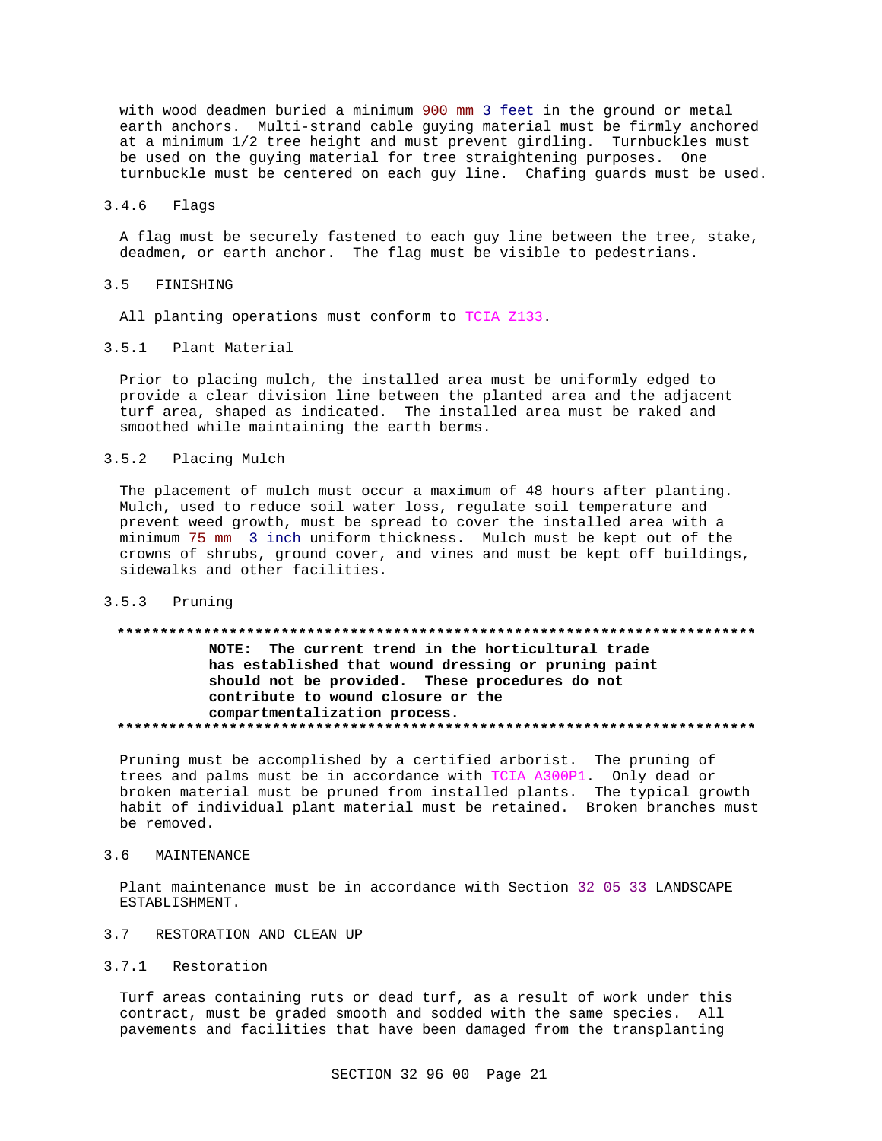with wood deadmen buried a minimum 900 mm 3 feet in the ground or metal earth anchors. Multi-strand cable guying material must be firmly anchored at a minimum 1/2 tree height and must prevent girdling. Turnbuckles must be used on the guying material for tree straightening purposes. One turnbuckle must be centered on each guy line. Chafing guards must be used.

#### $3.4.6$ Flags

A flag must be securely fastened to each guy line between the tree, stake, deadmen, or earth anchor. The flag must be visible to pedestrians.

#### $3.5$ FINISHING

All planting operations must conform to TCIA Z133.

## 3.5.1 Plant Material

Prior to placing mulch, the installed area must be uniformly edged to provide a clear division line between the planted area and the adjacent turf area, shaped as indicated. The installed area must be raked and smoothed while maintaining the earth berms.

#### $3.5.2$ Placing Mulch

The placement of mulch must occur a maximum of 48 hours after planting. Mulch, used to reduce soil water loss, regulate soil temperature and prevent weed growth, must be spread to cover the installed area with a minimum 75 mm 3 inch uniform thickness. Mulch must be kept out of the crowns of shrubs, ground cover, and vines and must be kept off buildings, sidewalks and other facilities.

#### $3.5.3$ Pruning

# NOTE: The current trend in the horticultural trade has established that wound dressing or pruning paint should not be provided. These procedures do not contribute to wound closure or the compartmentalization process.

Pruning must be accomplished by a certified arborist. The pruning of trees and palms must be in accordance with TCIA A300P1. Only dead or broken material must be pruned from installed plants. The typical growth habit of individual plant material must be retained. Broken branches must be removed.

#### $3.6$ MAINTENANCE

Plant maintenance must be in accordance with Section 32 05 33 LANDSCAPE ESTABLISHMENT.

### 3.7 RESTORATION AND CLEAN UP

### 3.7.1 Restoration

Turf areas containing ruts or dead turf, as a result of work under this contract, must be graded smooth and sodded with the same species. All pavements and facilities that have been damaged from the transplanting